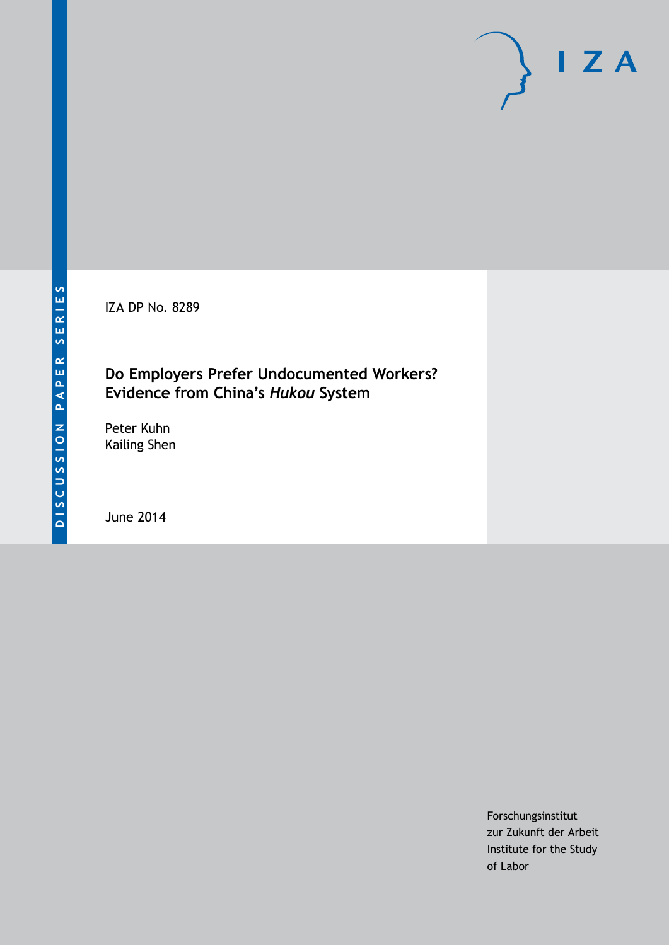IZA DP No. 8289

# **Do Employers Prefer Undocumented Workers? Evidence from China's** *Hukou* **System**

Peter Kuhn Kailing Shen

June 2014

Forschungsinstitut zur Zukunft der Arbeit Institute for the Study of Labor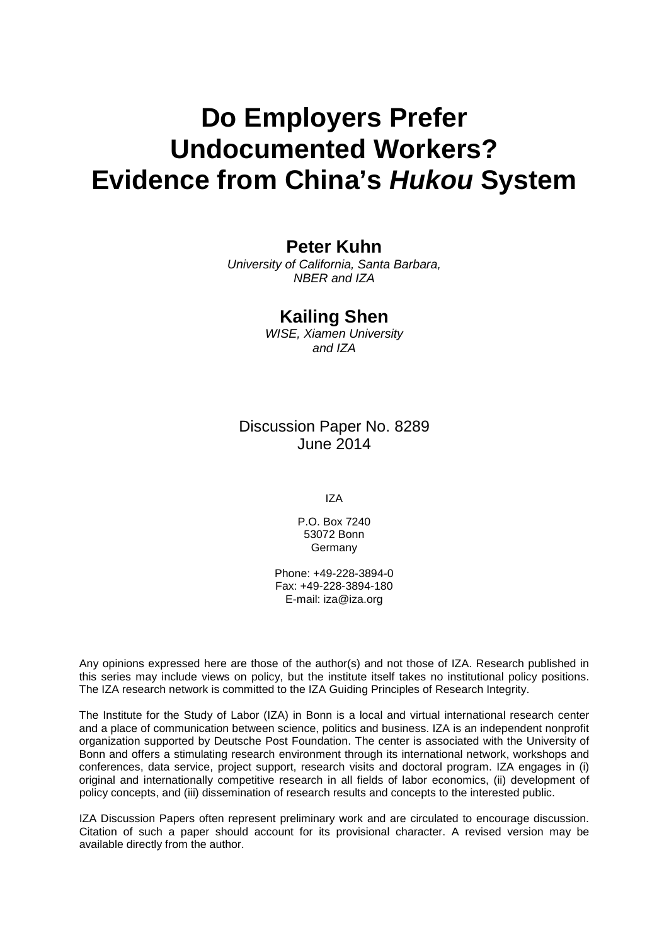# **Do Employers Prefer Undocumented Workers? Evidence from China's** *Hukou* **System**

### **Peter Kuhn**

*University of California, Santa Barbara, NBER and IZA*

### **Kailing Shen**

*WISE, Xiamen University and IZA*

### Discussion Paper No. 8289 June 2014

IZA

P.O. Box 7240 53072 Bonn **Germany** 

Phone: +49-228-3894-0 Fax: +49-228-3894-180 E-mail: [iza@iza.org](mailto:iza@iza.org)

Any opinions expressed here are those of the author(s) and not those of IZA. Research published in this series may include views on policy, but the institute itself takes no institutional policy positions. The IZA research network is committed to the IZA Guiding Principles of Research Integrity.

The Institute for the Study of Labor (IZA) in Bonn is a local and virtual international research center and a place of communication between science, politics and business. IZA is an independent nonprofit organization supported by Deutsche Post Foundation. The center is associated with the University of Bonn and offers a stimulating research environment through its international network, workshops and conferences, data service, project support, research visits and doctoral program. IZA engages in (i) original and internationally competitive research in all fields of labor economics, (ii) development of policy concepts, and (iii) dissemination of research results and concepts to the interested public.

<span id="page-1-0"></span>IZA Discussion Papers often represent preliminary work and are circulated to encourage discussion. Citation of such a paper should account for its provisional character. A revised version may be available directly from the author.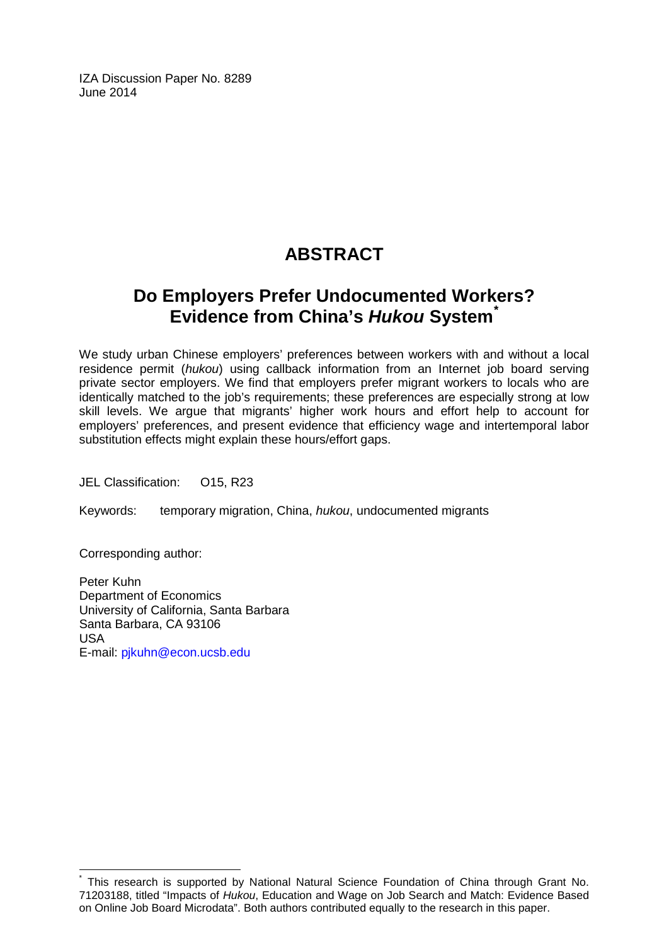IZA Discussion Paper No. 8289 June 2014

# **ABSTRACT**

# **Do Employers Prefer Undocumented Workers? Evidence from China's** *Hukou* **System[\\*](#page-1-0)**

We study urban Chinese employers' preferences between workers with and without a local residence permit (*hukou*) using callback information from an Internet job board serving private sector employers. We find that employers prefer migrant workers to locals who are identically matched to the job's requirements; these preferences are especially strong at low skill levels. We argue that migrants' higher work hours and effort help to account for employers' preferences, and present evidence that efficiency wage and intertemporal labor substitution effects might explain these hours/effort gaps.

JEL Classification: O15, R23

Keywords: temporary migration, China, *hukou*, undocumented migrants

Corresponding author:

Peter Kuhn Department of Economics University of California, Santa Barbara Santa Barbara, CA 93106 USA E-mail: [pjkuhn@econ.ucsb.edu](mailto:pjkuhn@econ.ucsb.edu)

This research is supported by National Natural Science Foundation of China through Grant No. 71203188, titled "Impacts of *Hukou*, Education and Wage on Job Search and Match: Evidence Based on Online Job Board Microdata". Both authors contributed equally to the research in this paper.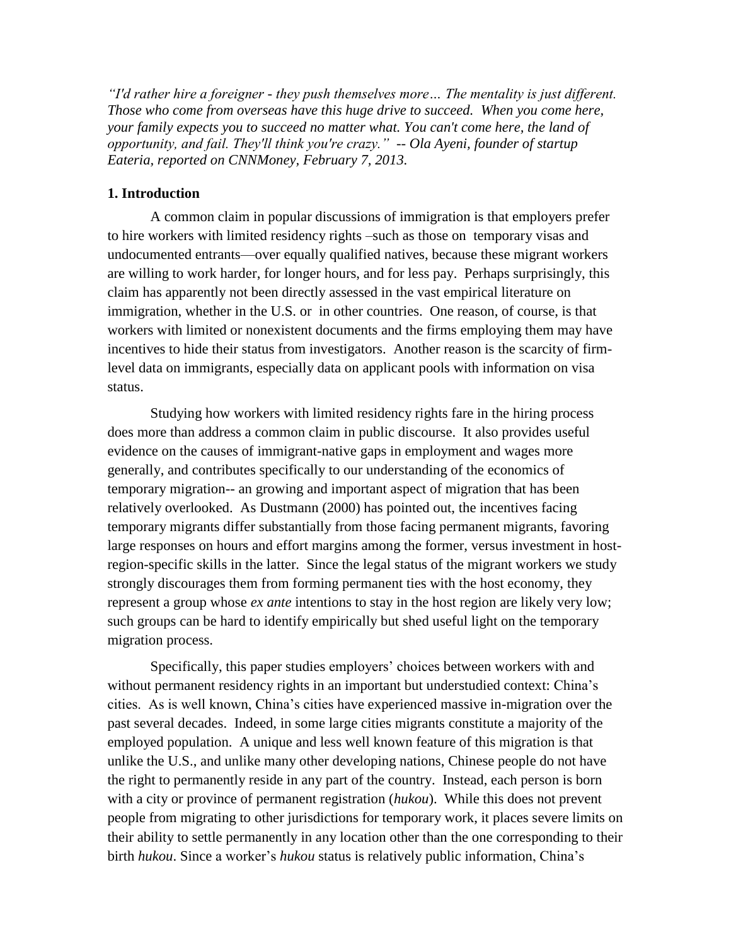*"I'd rather hire a foreigner - they push themselves more… The mentality is just different. Those who come from overseas have this huge drive to succeed. When you come here, your family expects you to succeed no matter what. You can't come here, the land of opportunity, and fail. They'll think you're crazy." -- Ola Ayeni, founder of startup Eateria, reported on CNNMoney, February 7, 2013.*

#### **1. Introduction**

A common claim in popular discussions of immigration is that employers prefer to hire workers with limited residency rights –such as those on temporary visas and undocumented entrants—over equally qualified natives, because these migrant workers are willing to work harder, for longer hours, and for less pay. Perhaps surprisingly, this claim has apparently not been directly assessed in the vast empirical literature on immigration, whether in the U.S. or in other countries. One reason, of course, is that workers with limited or nonexistent documents and the firms employing them may have incentives to hide their status from investigators. Another reason is the scarcity of firmlevel data on immigrants, especially data on applicant pools with information on visa status.

Studying how workers with limited residency rights fare in the hiring process does more than address a common claim in public discourse. It also provides useful evidence on the causes of immigrant-native gaps in employment and wages more generally, and contributes specifically to our understanding of the economics of temporary migration-- an growing and important aspect of migration that has been relatively overlooked. As Dustmann (2000) has pointed out, the incentives facing temporary migrants differ substantially from those facing permanent migrants, favoring large responses on hours and effort margins among the former, versus investment in hostregion-specific skills in the latter. Since the legal status of the migrant workers we study strongly discourages them from forming permanent ties with the host economy, they represent a group whose *ex ante* intentions to stay in the host region are likely very low; such groups can be hard to identify empirically but shed useful light on the temporary migration process.

Specifically, this paper studies employers' choices between workers with and without permanent residency rights in an important but understudied context: China's cities. As is well known, China's cities have experienced massive in-migration over the past several decades. Indeed, in some large cities migrants constitute a majority of the employed population. A unique and less well known feature of this migration is that unlike the U.S., and unlike many other developing nations, Chinese people do not have the right to permanently reside in any part of the country. Instead, each person is born with a city or province of permanent registration (*hukou*). While this does not prevent people from migrating to other jurisdictions for temporary work, it places severe limits on their ability to settle permanently in any location other than the one corresponding to their birth *hukou*. Since a worker's *hukou* status is relatively public information, China's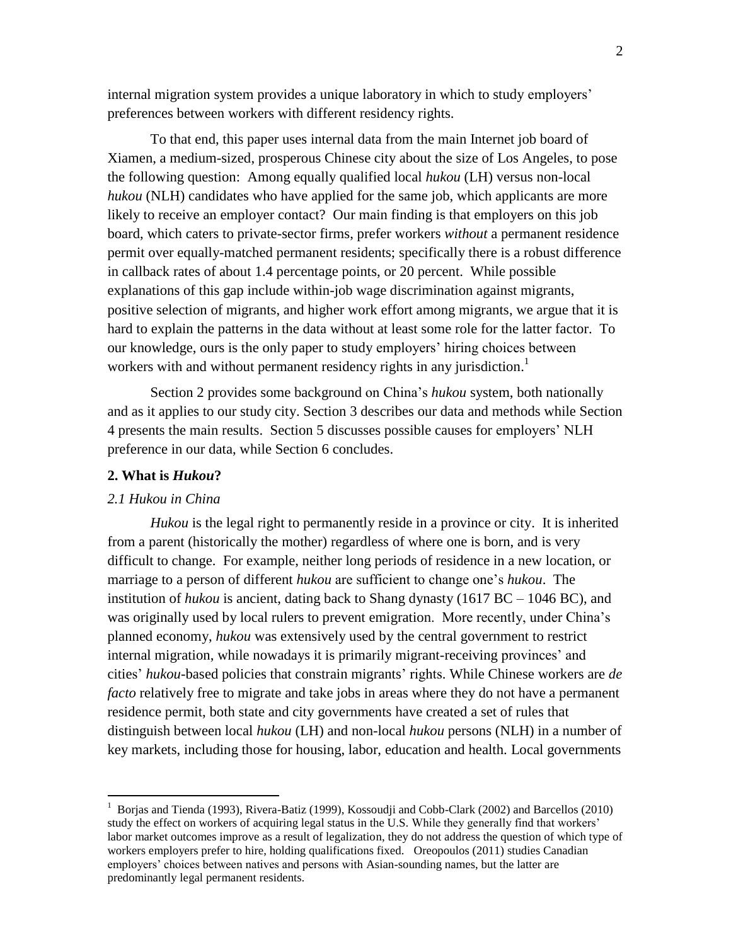internal migration system provides a unique laboratory in which to study employers' preferences between workers with different residency rights.

To that end, this paper uses internal data from the main Internet job board of Xiamen, a medium-sized, prosperous Chinese city about the size of Los Angeles, to pose the following question: Among equally qualified local *hukou* (LH) versus non-local *hukou* (NLH) candidates who have applied for the same job, which applicants are more likely to receive an employer contact? Our main finding is that employers on this job board, which caters to private-sector firms, prefer workers *without* a permanent residence permit over equally-matched permanent residents; specifically there is a robust difference in callback rates of about 1.4 percentage points, or 20 percent. While possible explanations of this gap include within-job wage discrimination against migrants, positive selection of migrants, and higher work effort among migrants, we argue that it is hard to explain the patterns in the data without at least some role for the latter factor. To our knowledge, ours is the only paper to study employers' hiring choices between workers with and without permanent residency rights in any jurisdiction.<sup>1</sup>

Section 2 provides some background on China's *hukou* system, both nationally and as it applies to our study city. Section 3 describes our data and methods while Section 4 presents the main results. Section 5 discusses possible causes for employers' NLH preference in our data, while Section 6 concludes.

#### **2. What is** *Hukou***?**

#### *2.1 Hukou in China*

 $\overline{a}$ 

*Hukou* is the legal right to permanently reside in a province or city. It is inherited from a parent (historically the mother) regardless of where one is born, and is very difficult to change. For example, neither long periods of residence in a new location, or marriage to a person of different *hukou* are sufficient to change one's *hukou*. The institution of *hukou* is ancient, dating back to Shang dynasty (1617 BC – 1046 BC), and was originally used by local rulers to prevent emigration. More recently, under China's planned economy, *hukou* was extensively used by the central government to restrict internal migration, while nowadays it is primarily migrant-receiving provinces' and cities' *hukou*-based policies that constrain migrants' rights. While Chinese workers are *de facto* relatively free to migrate and take jobs in areas where they do not have a permanent residence permit, both state and city governments have created a set of rules that distinguish between local *hukou* (LH) and non-local *hukou* persons (NLH) in a number of key markets, including those for housing, labor, education and health. Local governments

<sup>&</sup>lt;sup>1</sup> Borjas and Tienda (1993), Rivera-Batiz (1999), Kossoudji and Cobb-Clark (2002) and Barcellos (2010) study the effect on workers of acquiring legal status in the U.S. While they generally find that workers' labor market outcomes improve as a result of legalization, they do not address the question of which type of workers employers prefer to hire, holding qualifications fixed. Oreopoulos (2011) studies Canadian employers' choices between natives and persons with Asian-sounding names, but the latter are predominantly legal permanent residents.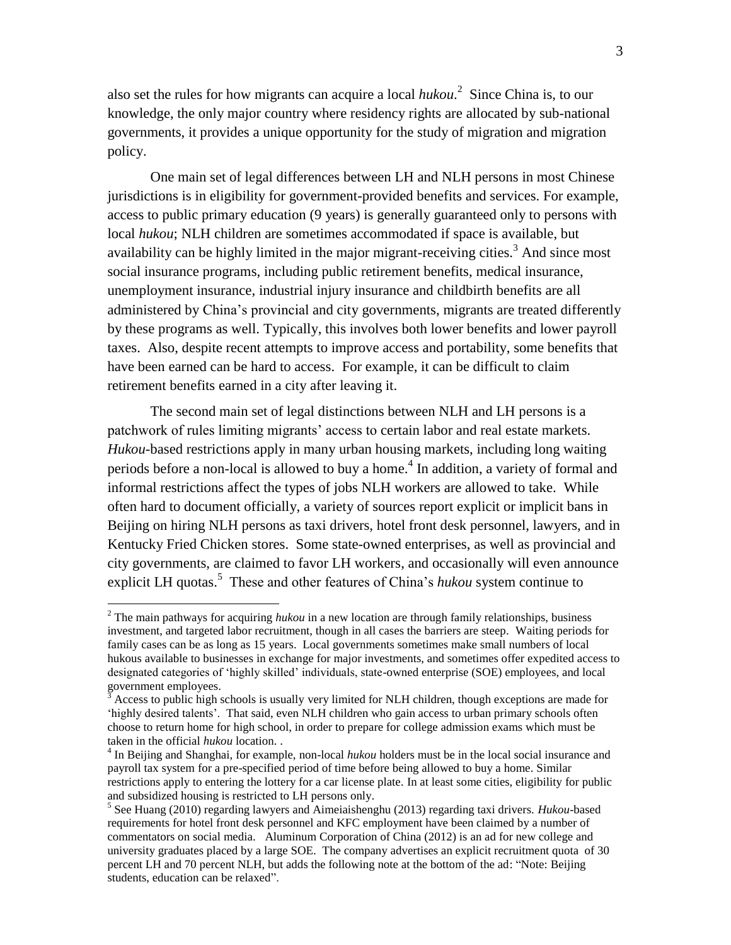also set the rules for how migrants can acquire a local *hukou*. 2 Since China is, to our knowledge, the only major country where residency rights are allocated by sub-national governments, it provides a unique opportunity for the study of migration and migration policy.

One main set of legal differences between LH and NLH persons in most Chinese jurisdictions is in eligibility for government-provided benefits and services. For example, access to public primary education (9 years) is generally guaranteed only to persons with local *hukou*; NLH children are sometimes accommodated if space is available, but availability can be highly limited in the major migrant-receiving cities.<sup>3</sup> And since most social insurance programs, including public retirement benefits, medical insurance, unemployment insurance, industrial injury insurance and childbirth benefits are all administered by China's provincial and city governments, migrants are treated differently by these programs as well. Typically, this involves both lower benefits and lower payroll taxes. Also, despite recent attempts to improve access and portability, some benefits that have been earned can be hard to access. For example, it can be difficult to claim retirement benefits earned in a city after leaving it.

The second main set of legal distinctions between NLH and LH persons is a patchwork of rules limiting migrants' access to certain labor and real estate markets. *Hukou*-based restrictions apply in many urban housing markets, including long waiting periods before a non-local is allowed to buy a home.<sup>4</sup> In addition, a variety of formal and informal restrictions affect the types of jobs NLH workers are allowed to take. While often hard to document officially, a variety of sources report explicit or implicit bans in Beijing on hiring NLH persons as taxi drivers, hotel front desk personnel, lawyers, and in Kentucky Fried Chicken stores. Some state-owned enterprises, as well as provincial and city governments, are claimed to favor LH workers, and occasionally will even announce explicit LH quotas.<sup>5</sup> These and other features of China's *hukou* system continue to

<sup>2</sup> The main pathways for acquiring *hukou* in a new location are through family relationships, business investment, and targeted labor recruitment, though in all cases the barriers are steep. Waiting periods for family cases can be as long as 15 years. Local governments sometimes make small numbers of local hukous available to businesses in exchange for major investments, and sometimes offer expedited access to designated categories of 'highly skilled' individuals, state-owned enterprise (SOE) employees, and local government employees.

<sup>3</sup> Access to public high schools is usually very limited for NLH children, though exceptions are made for 'highly desired talents'. That said, even NLH children who gain access to urban primary schools often choose to return home for high school, in order to prepare for college admission exams which must be taken in the official *hukou* location. .

<sup>&</sup>lt;sup>4</sup> In Beijing and Shanghai, for example, non-local *hukou* holders must be in the local social insurance and payroll tax system for a pre-specified period of time before being allowed to buy a home. Similar restrictions apply to entering the lottery for a car license plate. In at least some cities, eligibility for public and subsidized housing is restricted to LH persons only.

<sup>5</sup> See Huang (2010) regarding lawyers and Aimeiaishenghu (2013) regarding taxi drivers. *Hukou*-based requirements for hotel front desk personnel and KFC employment have been claimed by a number of commentators on social media. Aluminum Corporation of China (2012) is an ad for new college and university graduates placed by a large SOE. The company advertises an explicit recruitment quota of 30 percent LH and 70 percent NLH, but adds the following note at the bottom of the ad: "Note: Beijing students, education can be relaxed".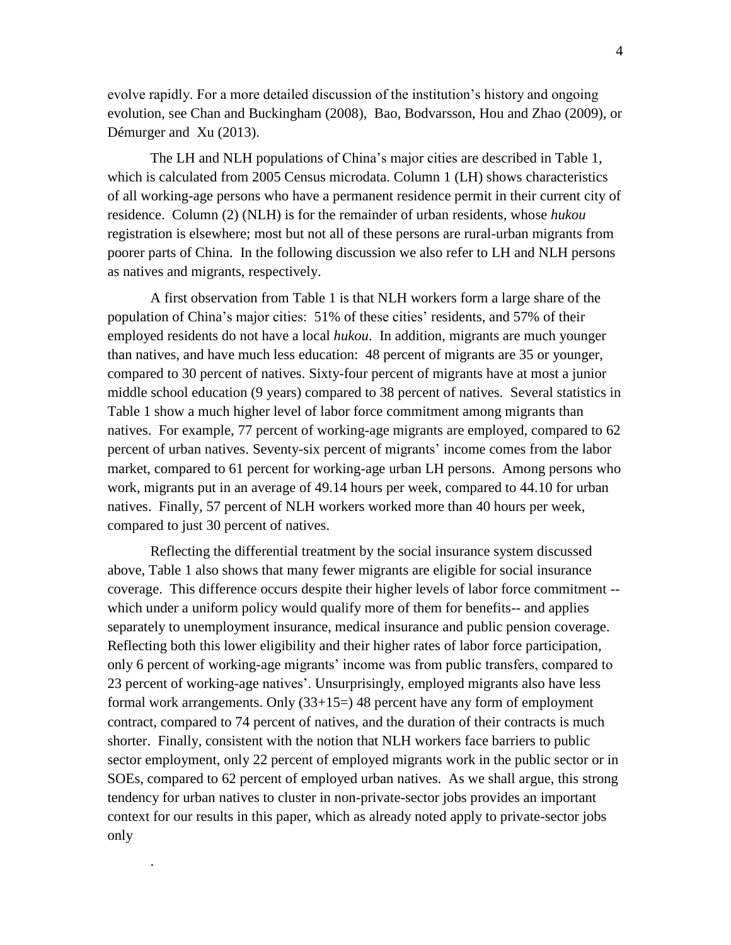evolve rapidly. For a more detailed discussion of the institution's history and ongoing evolution, see Chan and Buckingham (2008), Bao, Bodvarsson, Hou and Zhao (2009), or Démurger and Xu (2013).

The LH and NLH populations of China's major cities are described in Table 1, which is calculated from 2005 Census microdata. Column 1 (LH) shows characteristics of all working-age persons who have a permanent residence permit in their current city of residence. Column (2) (NLH) is for the remainder of urban residents, whose *hukou* registration is elsewhere; most but not all of these persons are rural-urban migrants from poorer parts of China. In the following discussion we also refer to LH and NLH persons as natives and migrants, respectively.

A first observation from Table 1 is that NLH workers form a large share of the population of China's major cities: 51% of these cities' residents, and 57% of their employed residents do not have a local *hukou*. In addition, migrants are much younger than natives, and have much less education: 48 percent of migrants are 35 or younger, compared to 30 percent of natives. Sixty-four percent of migrants have at most a junior middle school education (9 years) compared to 38 percent of natives. Several statistics in Table 1 show a much higher level of labor force commitment among migrants than natives. For example, 77 percent of working-age migrants are employed, compared to 62 percent of urban natives. Seventy-six percent of migrants' income comes from the labor market, compared to 61 percent for working-age urban LH persons. Among persons who work, migrants put in an average of 49.14 hours per week, compared to 44.10 for urban natives. Finally, 57 percent of NLH workers worked more than 40 hours per week, compared to just 30 percent of natives.

Reflecting the differential treatment by the social insurance system discussed above, Table 1 also shows that many fewer migrants are eligible for social insurance coverage. This difference occurs despite their higher levels of labor force commitment - which under a uniform policy would qualify more of them for benefits-- and applies separately to unemployment insurance, medical insurance and public pension coverage. Reflecting both this lower eligibility and their higher rates of labor force participation, only 6 percent of working-age migrants' income was from public transfers, compared to 23 percent of working-age natives'. Unsurprisingly, employed migrants also have less formal work arrangements. Only (33+15=) 48 percent have any form of employment contract, compared to 74 percent of natives, and the duration of their contracts is much shorter. Finally, consistent with the notion that NLH workers face barriers to public sector employment, only 22 percent of employed migrants work in the public sector or in SOEs, compared to 62 percent of employed urban natives. As we shall argue, this strong tendency for urban natives to cluster in non-private-sector jobs provides an important context for our results in this paper, which as already noted apply to private-sector jobs only

.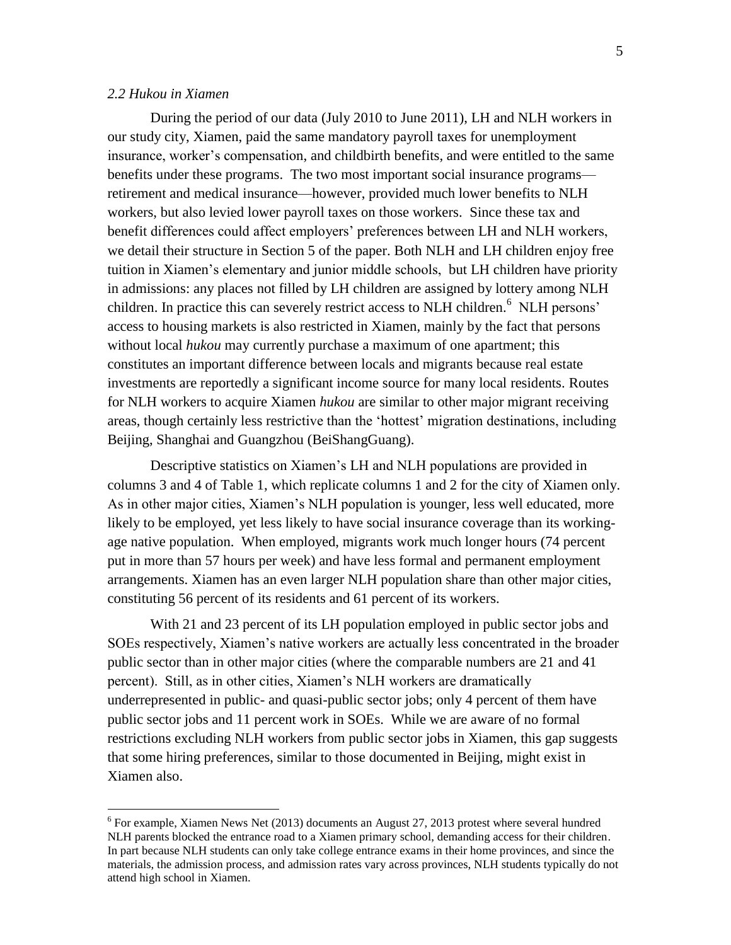#### *2.2 Hukou in Xiamen*

 $\overline{a}$ 

During the period of our data (July 2010 to June 2011), LH and NLH workers in our study city, Xiamen, paid the same mandatory payroll taxes for unemployment insurance, worker's compensation, and childbirth benefits, and were entitled to the same benefits under these programs. The two most important social insurance programs retirement and medical insurance—however, provided much lower benefits to NLH workers, but also levied lower payroll taxes on those workers. Since these tax and benefit differences could affect employers' preferences between LH and NLH workers, we detail their structure in Section 5 of the paper. Both NLH and LH children enjoy free tuition in Xiamen's elementary and junior middle schools, but LH children have priority in admissions: any places not filled by LH children are assigned by lottery among NLH children. In practice this can severely restrict access to NLH children.<sup>6</sup> NLH persons' access to housing markets is also restricted in Xiamen, mainly by the fact that persons without local *hukou* may currently purchase a maximum of one apartment; this constitutes an important difference between locals and migrants because real estate investments are reportedly a significant income source for many local residents. Routes for NLH workers to acquire Xiamen *hukou* are similar to other major migrant receiving areas, though certainly less restrictive than the 'hottest' migration destinations, including Beijing, Shanghai and Guangzhou (BeiShangGuang).

Descriptive statistics on Xiamen's LH and NLH populations are provided in columns 3 and 4 of Table 1, which replicate columns 1 and 2 for the city of Xiamen only. As in other major cities, Xiamen's NLH population is younger, less well educated, more likely to be employed, yet less likely to have social insurance coverage than its workingage native population. When employed, migrants work much longer hours (74 percent put in more than 57 hours per week) and have less formal and permanent employment arrangements. Xiamen has an even larger NLH population share than other major cities, constituting 56 percent of its residents and 61 percent of its workers.

With 21 and 23 percent of its LH population employed in public sector jobs and SOEs respectively, Xiamen's native workers are actually less concentrated in the broader public sector than in other major cities (where the comparable numbers are 21 and 41 percent). Still, as in other cities, Xiamen's NLH workers are dramatically underrepresented in public- and quasi-public sector jobs; only 4 percent of them have public sector jobs and 11 percent work in SOEs. While we are aware of no formal restrictions excluding NLH workers from public sector jobs in Xiamen, this gap suggests that some hiring preferences, similar to those documented in Beijing, might exist in Xiamen also.

 $6$  For example, Xiamen News Net (2013) documents an August 27, 2013 protest where several hundred NLH parents blocked the entrance road to a Xiamen primary school, demanding access for their children. In part because NLH students can only take college entrance exams in their home provinces, and since the materials, the admission process, and admission rates vary across provinces, NLH students typically do not attend high school in Xiamen.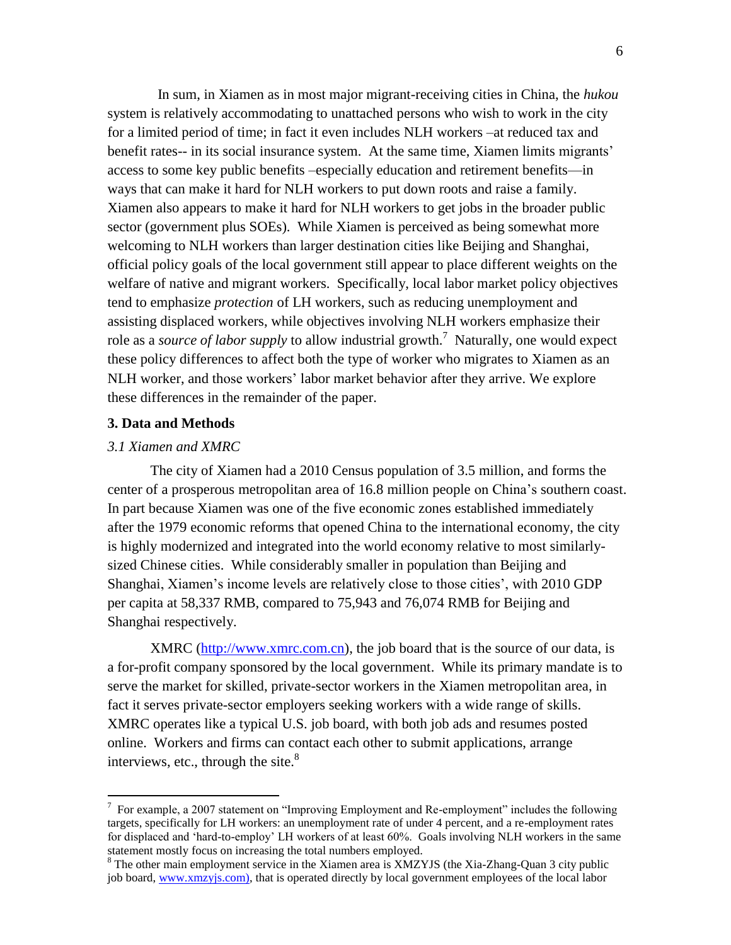In sum, in Xiamen as in most major migrant-receiving cities in China, the *hukou* system is relatively accommodating to unattached persons who wish to work in the city for a limited period of time; in fact it even includes NLH workers –at reduced tax and benefit rates-- in its social insurance system. At the same time, Xiamen limits migrants' access to some key public benefits –especially education and retirement benefits—in ways that can make it hard for NLH workers to put down roots and raise a family. Xiamen also appears to make it hard for NLH workers to get jobs in the broader public sector (government plus SOEs). While Xiamen is perceived as being somewhat more welcoming to NLH workers than larger destination cities like Beijing and Shanghai, official policy goals of the local government still appear to place different weights on the welfare of native and migrant workers. Specifically, local labor market policy objectives tend to emphasize *protection* of LH workers, such as reducing unemployment and assisting displaced workers, while objectives involving NLH workers emphasize their role as a *source of labor supply* to allow industrial growth.<sup>7</sup> Naturally, one would expect these policy differences to affect both the type of worker who migrates to Xiamen as an NLH worker, and those workers' labor market behavior after they arrive. We explore these differences in the remainder of the paper.

#### **3. Data and Methods**

#### *3.1 Xiamen and XMRC*

 $\overline{a}$ 

The city of Xiamen had a 2010 Census population of 3.5 million, and forms the center of a prosperous metropolitan area of 16.8 million people on China's southern coast. In part because Xiamen was one of the five economic zones established immediately after the 1979 economic reforms that opened China to the international economy, the city is highly modernized and integrated into the world economy relative to most similarlysized Chinese cities. While considerably smaller in population than Beijing and Shanghai, Xiamen's income levels are relatively close to those cities', with 2010 GDP per capita at 58,337 RMB, compared to 75,943 and 76,074 RMB for Beijing and Shanghai respectively.

XMRC [\(http://www.xmrc.com.cn\)](http://www.xmrc.com.cn/), the job board that is the source of our data, is a for-profit company sponsored by the local government. While its primary mandate is to serve the market for skilled, private-sector workers in the Xiamen metropolitan area, in fact it serves private-sector employers seeking workers with a wide range of skills. XMRC operates like a typical U.S. job board, with both job ads and resumes posted online. Workers and firms can contact each other to submit applications, arrange interviews, etc., through the site. $8<sup>8</sup>$ 

 $7$  For example, a 2007 statement on "Improving Employment and Re-employment" includes the following targets, specifically for LH workers: an unemployment rate of under 4 percent, and a re-employment rates for displaced and 'hard-to-employ' LH workers of at least 60%. Goals involving NLH workers in the same statement mostly focus on increasing the total numbers employed.

 $8$  The other main employment service in the Xiamen area is XMZYJS (the Xia-Zhang-Quan 3 city public job board, [www.xmzyjs.com\)](http://www.xmzyjs.com/), that is operated directly by local government employees of the local labor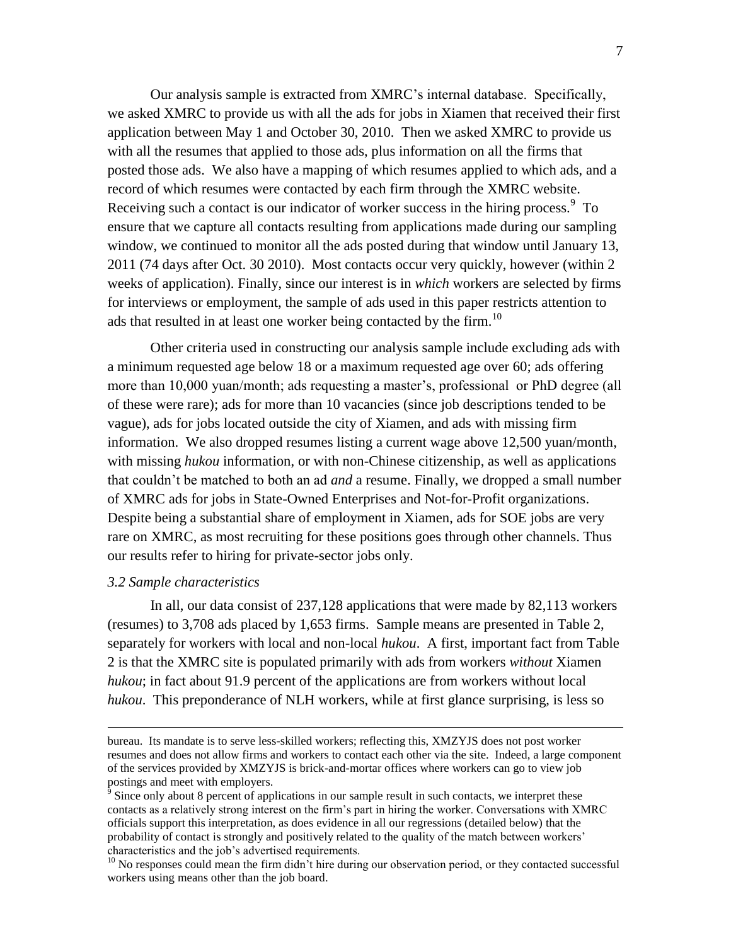Our analysis sample is extracted from XMRC's internal database. Specifically, we asked XMRC to provide us with all the ads for jobs in Xiamen that received their first application between May 1 and October 30, 2010. Then we asked XMRC to provide us with all the resumes that applied to those ads, plus information on all the firms that posted those ads. We also have a mapping of which resumes applied to which ads, and a record of which resumes were contacted by each firm through the XMRC website. Receiving such a contact is our indicator of worker success in the hiring process. $9\text{ To}$ ensure that we capture all contacts resulting from applications made during our sampling window, we continued to monitor all the ads posted during that window until January 13, 2011 (74 days after Oct. 30 2010). Most contacts occur very quickly, however (within 2 weeks of application). Finally, since our interest is in *which* workers are selected by firms for interviews or employment, the sample of ads used in this paper restricts attention to ads that resulted in at least one worker being contacted by the firm.<sup>10</sup>

Other criteria used in constructing our analysis sample include excluding ads with a minimum requested age below 18 or a maximum requested age over 60; ads offering more than 10,000 yuan/month; ads requesting a master's, professional or PhD degree (all of these were rare); ads for more than 10 vacancies (since job descriptions tended to be vague), ads for jobs located outside the city of Xiamen, and ads with missing firm information. We also dropped resumes listing a current wage above 12,500 yuan/month, with missing *hukou* information, or with non-Chinese citizenship, as well as applications that couldn't be matched to both an ad *and* a resume. Finally, we dropped a small number of XMRC ads for jobs in State-Owned Enterprises and Not-for-Profit organizations. Despite being a substantial share of employment in Xiamen, ads for SOE jobs are very rare on XMRC, as most recruiting for these positions goes through other channels. Thus our results refer to hiring for private-sector jobs only.

#### *3.2 Sample characteristics*

 $\overline{a}$ 

In all, our data consist of 237,128 applications that were made by 82,113 workers (resumes) to 3,708 ads placed by 1,653 firms. Sample means are presented in Table 2, separately for workers with local and non-local *hukou*. A first, important fact from Table 2 is that the XMRC site is populated primarily with ads from workers *without* Xiamen *hukou*; in fact about 91.9 percent of the applications are from workers without local *hukou*. This preponderance of NLH workers, while at first glance surprising, is less so

bureau. Its mandate is to serve less-skilled workers; reflecting this, XMZYJS does not post worker resumes and does not allow firms and workers to contact each other via the site. Indeed, a large component of the services provided by XMZYJS is brick-and-mortar offices where workers can go to view job postings and meet with employers.

<sup>9</sup> Since only about 8 percent of applications in our sample result in such contacts, we interpret these contacts as a relatively strong interest on the firm's part in hiring the worker. Conversations with XMRC officials support this interpretation, as does evidence in all our regressions (detailed below) that the probability of contact is strongly and positively related to the quality of the match between workers' characteristics and the job's advertised requirements.

<sup>&</sup>lt;sup>10</sup> No responses could mean the firm didn't hire during our observation period, or they contacted successful workers using means other than the job board.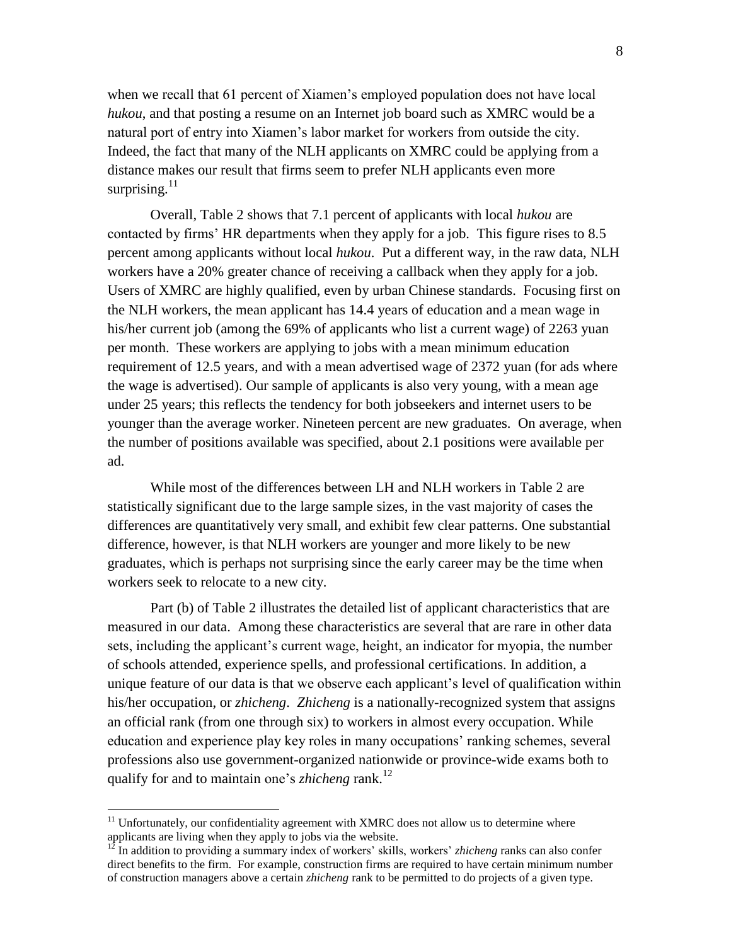when we recall that 61 percent of Xiamen's employed population does not have local *hukou*, and that posting a resume on an Internet job board such as XMRC would be a natural port of entry into Xiamen's labor market for workers from outside the city. Indeed, the fact that many of the NLH applicants on XMRC could be applying from a distance makes our result that firms seem to prefer NLH applicants even more surprising. $11$ 

Overall, Table 2 shows that 7.1 percent of applicants with local *hukou* are contacted by firms' HR departments when they apply for a job. This figure rises to 8.5 percent among applicants without local *hukou*. Put a different way, in the raw data, NLH workers have a 20% greater chance of receiving a callback when they apply for a job. Users of XMRC are highly qualified, even by urban Chinese standards. Focusing first on the NLH workers, the mean applicant has 14.4 years of education and a mean wage in his/her current job (among the 69% of applicants who list a current wage) of 2263 yuan per month. These workers are applying to jobs with a mean minimum education requirement of 12.5 years, and with a mean advertised wage of 2372 yuan (for ads where the wage is advertised). Our sample of applicants is also very young, with a mean age under 25 years; this reflects the tendency for both jobseekers and internet users to be younger than the average worker. Nineteen percent are new graduates. On average, when the number of positions available was specified, about 2.1 positions were available per ad.

While most of the differences between LH and NLH workers in Table 2 are statistically significant due to the large sample sizes, in the vast majority of cases the differences are quantitatively very small, and exhibit few clear patterns. One substantial difference, however, is that NLH workers are younger and more likely to be new graduates, which is perhaps not surprising since the early career may be the time when workers seek to relocate to a new city.

Part (b) of Table 2 illustrates the detailed list of applicant characteristics that are measured in our data. Among these characteristics are several that are rare in other data sets, including the applicant's current wage, height, an indicator for myopia, the number of schools attended, experience spells, and professional certifications. In addition, a unique feature of our data is that we observe each applicant's level of qualification within his/her occupation, or *zhicheng*. *Zhicheng* is a nationally-recognized system that assigns an official rank (from one through six) to workers in almost every occupation. While education and experience play key roles in many occupations' ranking schemes, several professions also use government-organized nationwide or province-wide exams both to qualify for and to maintain one's *zhicheng* rank.<sup>12</sup>

 $11$  Unfortunately, our confidentiality agreement with XMRC does not allow us to determine where applicants are living when they apply to jobs via the website.

<sup>&</sup>lt;sup>12</sup> In addition to providing a summary index of workers' skills, workers' *zhicheng* ranks can also confer direct benefits to the firm. For example, construction firms are required to have certain minimum number of construction managers above a certain *zhicheng* rank to be permitted to do projects of a given type.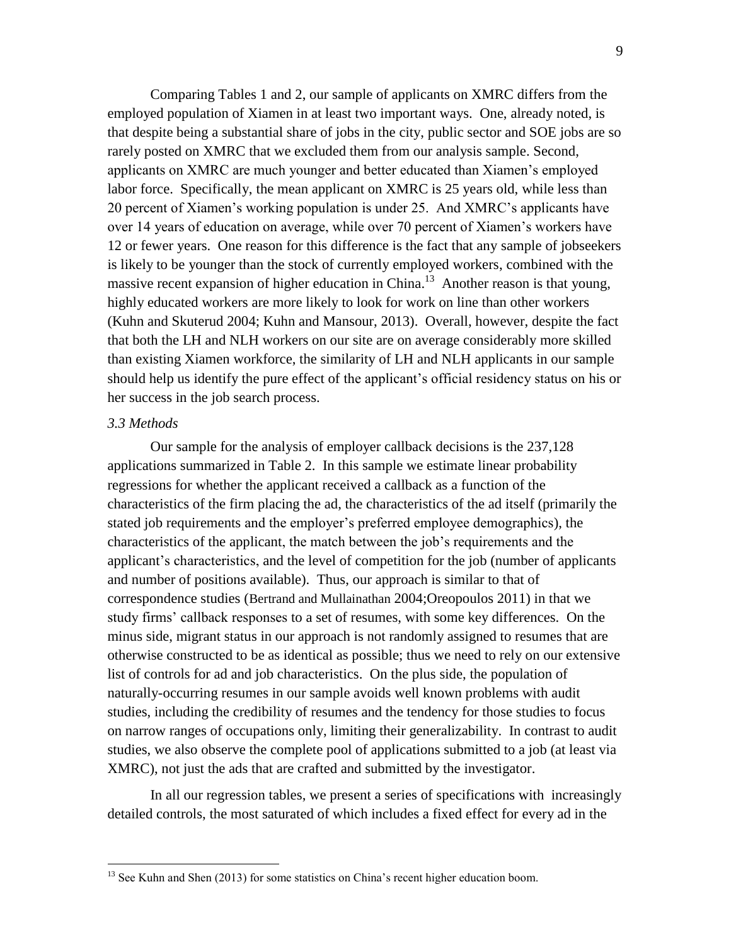Comparing Tables 1 and 2, our sample of applicants on XMRC differs from the employed population of Xiamen in at least two important ways. One, already noted, is that despite being a substantial share of jobs in the city, public sector and SOE jobs are so rarely posted on XMRC that we excluded them from our analysis sample. Second, applicants on XMRC are much younger and better educated than Xiamen's employed labor force. Specifically, the mean applicant on XMRC is 25 years old, while less than 20 percent of Xiamen's working population is under 25. And XMRC's applicants have over 14 years of education on average, while over 70 percent of Xiamen's workers have 12 or fewer years. One reason for this difference is the fact that any sample of jobseekers is likely to be younger than the stock of currently employed workers, combined with the massive recent expansion of higher education in China.<sup>13</sup> Another reason is that young, highly educated workers are more likely to look for work on line than other workers (Kuhn and Skuterud 2004; Kuhn and Mansour, 2013). Overall, however, despite the fact that both the LH and NLH workers on our site are on average considerably more skilled than existing Xiamen workforce, the similarity of LH and NLH applicants in our sample should help us identify the pure effect of the applicant's official residency status on his or her success in the job search process.

#### *3.3 Methods*

 $\overline{a}$ 

Our sample for the analysis of employer callback decisions is the 237,128 applications summarized in Table 2. In this sample we estimate linear probability regressions for whether the applicant received a callback as a function of the characteristics of the firm placing the ad, the characteristics of the ad itself (primarily the stated job requirements and the employer's preferred employee demographics), the characteristics of the applicant, the match between the job's requirements and the applicant's characteristics, and the level of competition for the job (number of applicants and number of positions available). Thus, our approach is similar to that of correspondence studies (Bertrand and Mullainathan 2004;Oreopoulos 2011) in that we study firms' callback responses to a set of resumes, with some key differences. On the minus side, migrant status in our approach is not randomly assigned to resumes that are otherwise constructed to be as identical as possible; thus we need to rely on our extensive list of controls for ad and job characteristics. On the plus side, the population of naturally-occurring resumes in our sample avoids well known problems with audit studies, including the credibility of resumes and the tendency for those studies to focus on narrow ranges of occupations only, limiting their generalizability. In contrast to audit studies, we also observe the complete pool of applications submitted to a job (at least via XMRC), not just the ads that are crafted and submitted by the investigator.

In all our regression tables, we present a series of specifications with increasingly detailed controls, the most saturated of which includes a fixed effect for every ad in the

<sup>&</sup>lt;sup>13</sup> See Kuhn and Shen (2013) for some statistics on China's recent higher education boom.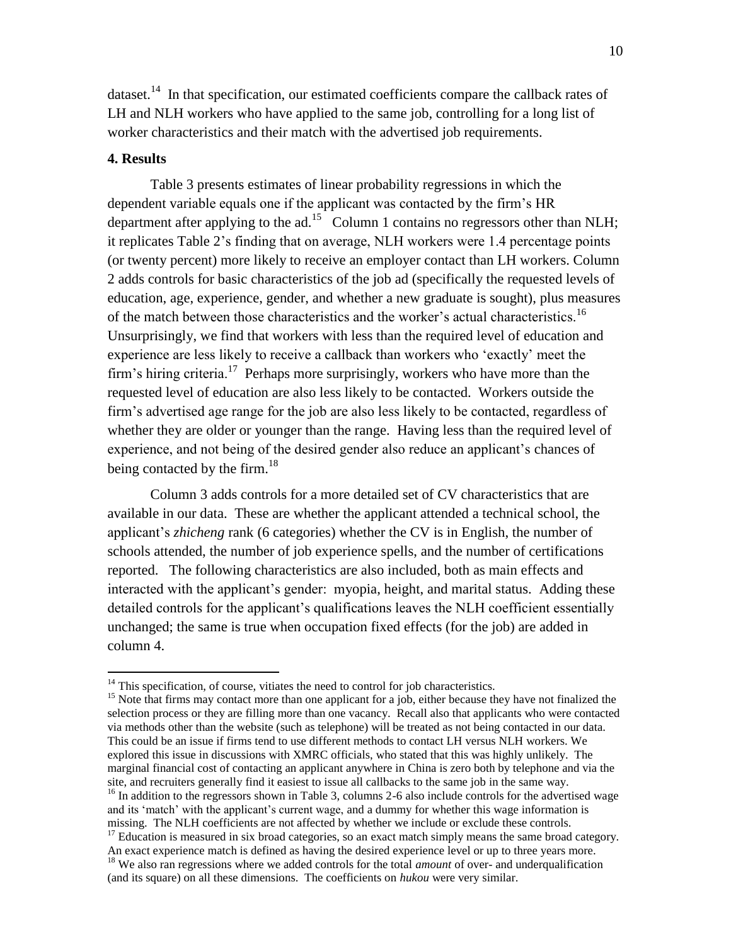dataset.<sup>14</sup> In that specification, our estimated coefficients compare the callback rates of LH and NLH workers who have applied to the same job, controlling for a long list of worker characteristics and their match with the advertised job requirements.

#### **4. Results**

 $\overline{a}$ 

Table 3 presents estimates of linear probability regressions in which the dependent variable equals one if the applicant was contacted by the firm's HR department after applying to the  $ad.<sup>15</sup>$  Column 1 contains no regressors other than NLH; it replicates Table 2's finding that on average, NLH workers were 1.4 percentage points (or twenty percent) more likely to receive an employer contact than LH workers. Column 2 adds controls for basic characteristics of the job ad (specifically the requested levels of education, age, experience, gender, and whether a new graduate is sought), plus measures of the match between those characteristics and the worker's actual characteristics.<sup>16</sup> Unsurprisingly, we find that workers with less than the required level of education and experience are less likely to receive a callback than workers who 'exactly' meet the firm's hiring criteria.<sup>17</sup> Perhaps more surprisingly, workers who have more than the requested level of education are also less likely to be contacted. Workers outside the firm's advertised age range for the job are also less likely to be contacted, regardless of whether they are older or younger than the range. Having less than the required level of experience, and not being of the desired gender also reduce an applicant's chances of being contacted by the firm.<sup>18</sup>

Column 3 adds controls for a more detailed set of CV characteristics that are available in our data. These are whether the applicant attended a technical school, the applicant's *zhicheng* rank (6 categories) whether the CV is in English, the number of schools attended, the number of job experience spells, and the number of certifications reported. The following characteristics are also included, both as main effects and interacted with the applicant's gender: myopia, height, and marital status. Adding these detailed controls for the applicant's qualifications leaves the NLH coefficient essentially unchanged; the same is true when occupation fixed effects (for the job) are added in column 4.

 $14$ <sup>14</sup> This specification, of course, vitiates the need to control for job characteristics.

<sup>&</sup>lt;sup>15</sup> Note that firms may contact more than one applicant for a job, either because they have not finalized the selection process or they are filling more than one vacancy. Recall also that applicants who were contacted via methods other than the website (such as telephone) will be treated as not being contacted in our data. This could be an issue if firms tend to use different methods to contact LH versus NLH workers. We explored this issue in discussions with XMRC officials, who stated that this was highly unlikely. The marginal financial cost of contacting an applicant anywhere in China is zero both by telephone and via the site, and recruiters generally find it easiest to issue all callbacks to the same job in the same way.

<sup>&</sup>lt;sup>16</sup> In addition to the regressors shown in Table 3, columns 2-6 also include controls for the advertised wage and its 'match' with the applicant's current wage, and a dummy for whether this wage information is missing. The NLH coefficients are not affected by whether we include or exclude these controls.

 $17$  Education is measured in six broad categories, so an exact match simply means the same broad category. An exact experience match is defined as having the desired experience level or up to three years more. <sup>18</sup> We also ran regressions where we added controls for the total *amount* of over- and underqualification (and its square) on all these dimensions. The coefficients on *hukou* were very similar.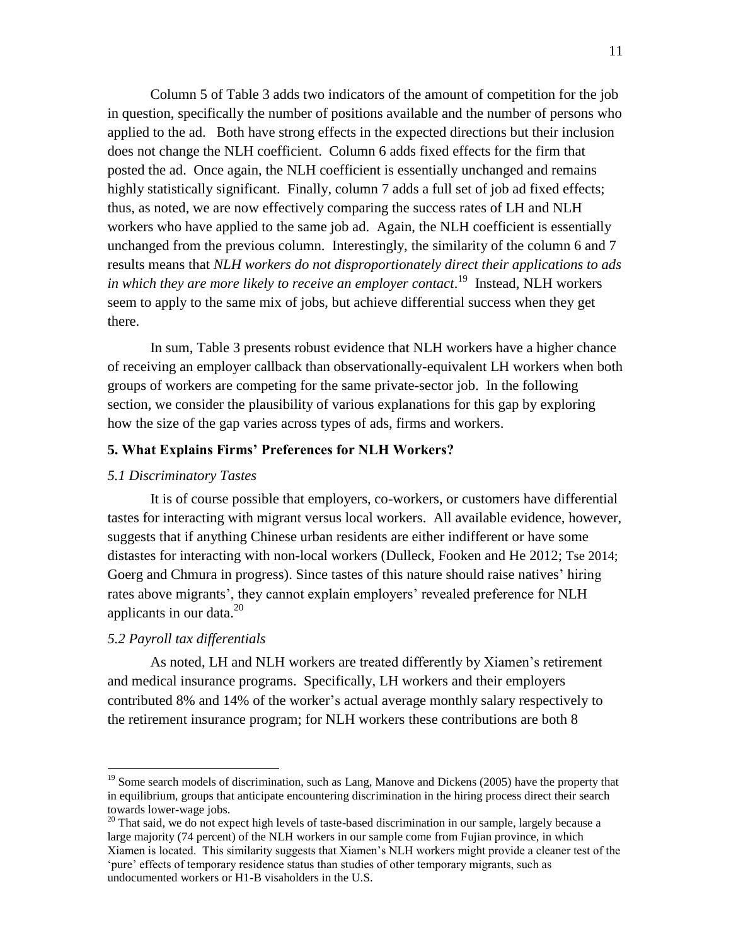Column 5 of Table 3 adds two indicators of the amount of competition for the job in question, specifically the number of positions available and the number of persons who applied to the ad. Both have strong effects in the expected directions but their inclusion does not change the NLH coefficient. Column 6 adds fixed effects for the firm that posted the ad. Once again, the NLH coefficient is essentially unchanged and remains highly statistically significant. Finally, column 7 adds a full set of job ad fixed effects; thus, as noted, we are now effectively comparing the success rates of LH and NLH workers who have applied to the same job ad. Again, the NLH coefficient is essentially unchanged from the previous column. Interestingly, the similarity of the column 6 and 7 results means that *NLH workers do not disproportionately direct their applications to ads*  in which they are more likely to receive an employer contact.<sup>19</sup> Instead, NLH workers seem to apply to the same mix of jobs, but achieve differential success when they get there.

In sum, Table 3 presents robust evidence that NLH workers have a higher chance of receiving an employer callback than observationally-equivalent LH workers when both groups of workers are competing for the same private-sector job. In the following section, we consider the plausibility of various explanations for this gap by exploring how the size of the gap varies across types of ads, firms and workers.

#### **5. What Explains Firms' Preferences for NLH Workers?**

#### *5.1 Discriminatory Tastes*

It is of course possible that employers, co-workers, or customers have differential tastes for interacting with migrant versus local workers. All available evidence, however, suggests that if anything Chinese urban residents are either indifferent or have some distastes for interacting with non-local workers (Dulleck, Fooken and He 2012; Tse 2014; Goerg and Chmura in progress). Since tastes of this nature should raise natives' hiring rates above migrants', they cannot explain employers' revealed preference for NLH applicants in our data. $^{20}$ 

#### *5.2 Payroll tax differentials*

 $\overline{a}$ 

As noted, LH and NLH workers are treated differently by Xiamen's retirement and medical insurance programs. Specifically, LH workers and their employers contributed 8% and 14% of the worker's actual average monthly salary respectively to the retirement insurance program; for NLH workers these contributions are both 8

<sup>&</sup>lt;sup>19</sup> Some search models of discrimination, such as Lang, Manove and Dickens (2005) have the property that in equilibrium, groups that anticipate encountering discrimination in the hiring process direct their search towards lower-wage jobs.

<sup>&</sup>lt;sup>20</sup> That said, we do not expect high levels of taste-based discrimination in our sample, largely because a large majority (74 percent) of the NLH workers in our sample come from Fujian province, in which Xiamen is located. This similarity suggests that Xiamen's NLH workers might provide a cleaner test of the 'pure' effects of temporary residence status than studies of other temporary migrants, such as undocumented workers or H1-B visaholders in the U.S.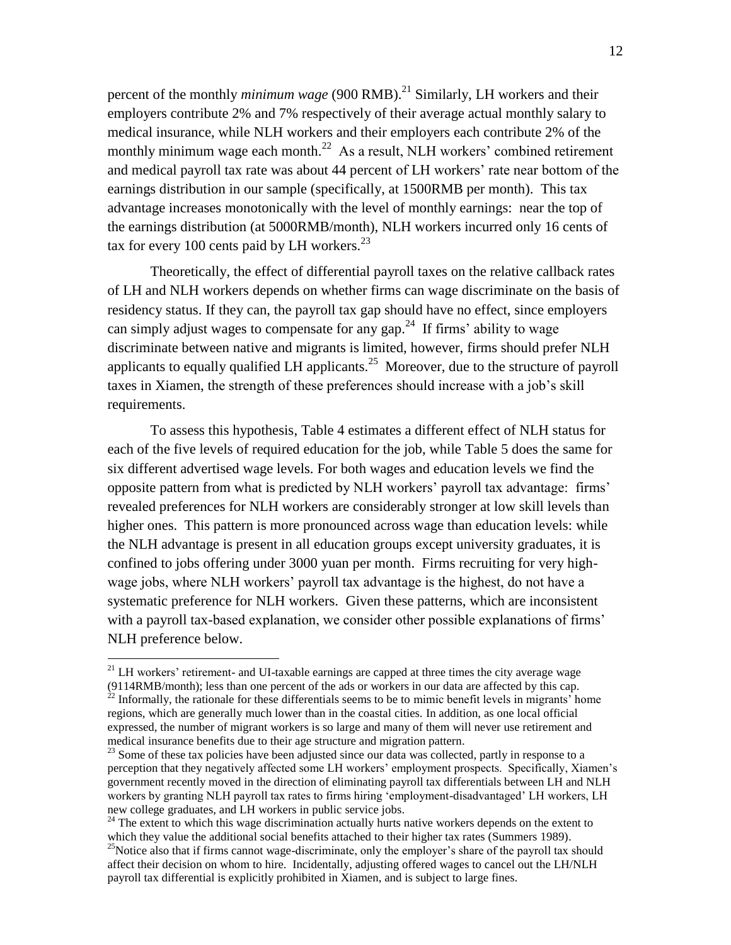percent of the monthly *minimum wage* (900 RMB).<sup>21</sup> Similarly, LH workers and their employers contribute 2% and 7% respectively of their average actual monthly salary to medical insurance, while NLH workers and their employers each contribute 2% of the monthly minimum wage each month.<sup>22</sup> As a result, NLH workers' combined retirement and medical payroll tax rate was about 44 percent of LH workers' rate near bottom of the earnings distribution in our sample (specifically, at 1500RMB per month). This tax advantage increases monotonically with the level of monthly earnings: near the top of the earnings distribution (at 5000RMB/month), NLH workers incurred only 16 cents of tax for every 100 cents paid by LH workers. $^{23}$ 

Theoretically, the effect of differential payroll taxes on the relative callback rates of LH and NLH workers depends on whether firms can wage discriminate on the basis of residency status. If they can, the payroll tax gap should have no effect, since employers can simply adjust wages to compensate for any gap.<sup>24</sup> If firms' ability to wage discriminate between native and migrants is limited, however, firms should prefer NLH applicants to equally qualified LH applicants.<sup>25</sup> Moreover, due to the structure of payroll taxes in Xiamen, the strength of these preferences should increase with a job's skill requirements.

To assess this hypothesis, Table 4 estimates a different effect of NLH status for each of the five levels of required education for the job, while Table 5 does the same for six different advertised wage levels. For both wages and education levels we find the opposite pattern from what is predicted by NLH workers' payroll tax advantage: firms' revealed preferences for NLH workers are considerably stronger at low skill levels than higher ones. This pattern is more pronounced across wage than education levels: while the NLH advantage is present in all education groups except university graduates, it is confined to jobs offering under 3000 yuan per month. Firms recruiting for very highwage jobs, where NLH workers' payroll tax advantage is the highest, do not have a systematic preference for NLH workers. Given these patterns, which are inconsistent with a payroll tax-based explanation, we consider other possible explanations of firms' NLH preference below.

 $21$  LH workers' retirement- and UI-taxable earnings are capped at three times the city average wage

<sup>(9114</sup>RMB/month); less than one percent of the ads or workers in our data are affected by this cap.  $^{22}$  Informally, the rationale for these differentials seems to be to mimic benefit levels in migrants' home regions, which are generally much lower than in the coastal cities. In addition, as one local official expressed, the number of migrant workers is so large and many of them will never use retirement and medical insurance benefits due to their age structure and migration pattern.

<sup>&</sup>lt;sup>23</sup> Some of these tax policies have been adjusted since our data was collected, partly in response to a perception that they negatively affected some LH workers' employment prospects. Specifically, Xiamen's government recently moved in the direction of eliminating payroll tax differentials between LH and NLH workers by granting NLH payroll tax rates to firms hiring 'employment-disadvantaged' LH workers, LH new college graduates, and LH workers in public service jobs.

<sup>&</sup>lt;sup>24</sup> The extent to which this wage discrimination actually hurts native workers depends on the extent to which they value the additional social benefits attached to their higher tax rates (Summers 1989).

<sup>&</sup>lt;sup>25</sup>Notice also that if firms cannot wage-discriminate, only the employer's share of the payroll tax should affect their decision on whom to hire. Incidentally, adjusting offered wages to cancel out the LH/NLH payroll tax differential is explicitly prohibited in Xiamen, and is subject to large fines.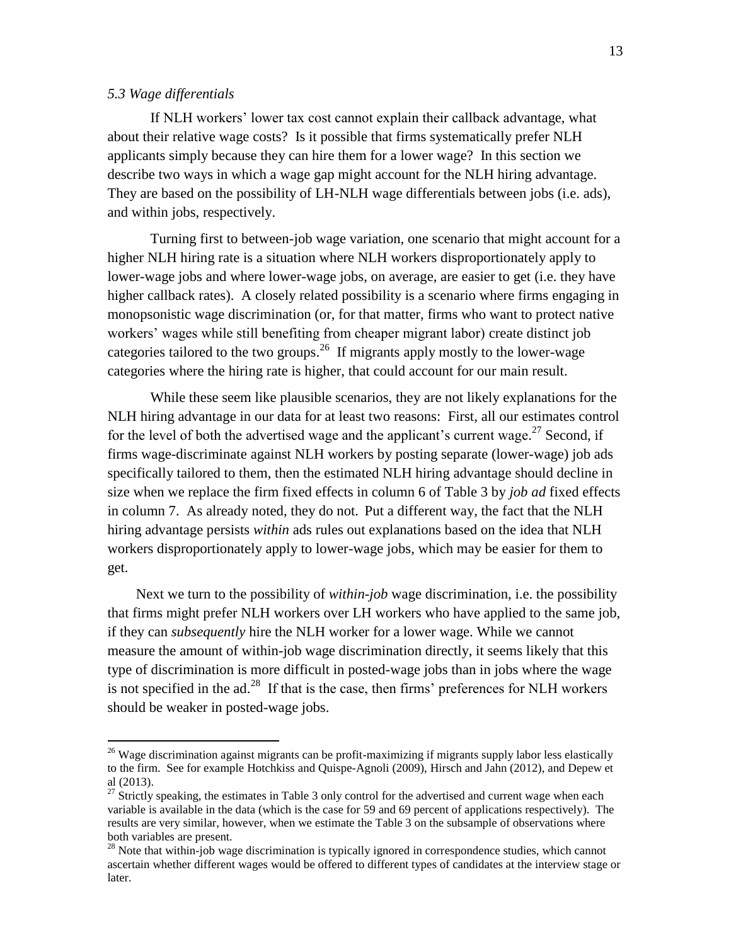#### *5.3 Wage differentials*

 $\overline{a}$ 

If NLH workers' lower tax cost cannot explain their callback advantage, what about their relative wage costs? Is it possible that firms systematically prefer NLH applicants simply because they can hire them for a lower wage? In this section we describe two ways in which a wage gap might account for the NLH hiring advantage. They are based on the possibility of LH-NLH wage differentials between jobs (i.e. ads), and within jobs, respectively.

Turning first to between-job wage variation, one scenario that might account for a higher NLH hiring rate is a situation where NLH workers disproportionately apply to lower-wage jobs and where lower-wage jobs, on average, are easier to get (i.e. they have higher callback rates). A closely related possibility is a scenario where firms engaging in monopsonistic wage discrimination (or, for that matter, firms who want to protect native workers' wages while still benefiting from cheaper migrant labor) create distinct job categories tailored to the two groups.<sup>26</sup> If migrants apply mostly to the lower-wage categories where the hiring rate is higher, that could account for our main result.

While these seem like plausible scenarios, they are not likely explanations for the NLH hiring advantage in our data for at least two reasons: First, all our estimates control for the level of both the advertised wage and the applicant's current wage.<sup>27</sup> Second, if firms wage-discriminate against NLH workers by posting separate (lower-wage) job ads specifically tailored to them, then the estimated NLH hiring advantage should decline in size when we replace the firm fixed effects in column 6 of Table 3 by *job ad* fixed effects in column 7. As already noted, they do not. Put a different way, the fact that the NLH hiring advantage persists *within* ads rules out explanations based on the idea that NLH workers disproportionately apply to lower-wage jobs, which may be easier for them to get.

 Next we turn to the possibility of *within-job* wage discrimination, i.e. the possibility that firms might prefer NLH workers over LH workers who have applied to the same job, if they can *subsequently* hire the NLH worker for a lower wage. While we cannot measure the amount of within-job wage discrimination directly, it seems likely that this type of discrimination is more difficult in posted-wage jobs than in jobs where the wage is not specified in the  $ad<sup>28</sup>$  If that is the case, then firms' preferences for NLH workers should be weaker in posted-wage jobs.

 $26$  Wage discrimination against migrants can be profit-maximizing if migrants supply labor less elastically to the firm. See for example Hotchkiss and Quispe-Agnoli (2009), Hirsch and Jahn (2012), and Depew et al (2013).

<sup>&</sup>lt;sup>27</sup> Strictly speaking, the estimates in Table 3 only control for the advertised and current wage when each variable is available in the data (which is the case for 59 and 69 percent of applications respectively). The results are very similar, however, when we estimate the Table 3 on the subsample of observations where both variables are present.

<sup>&</sup>lt;sup>28</sup> Note that within-job wage discrimination is typically ignored in correspondence studies, which cannot ascertain whether different wages would be offered to different types of candidates at the interview stage or later.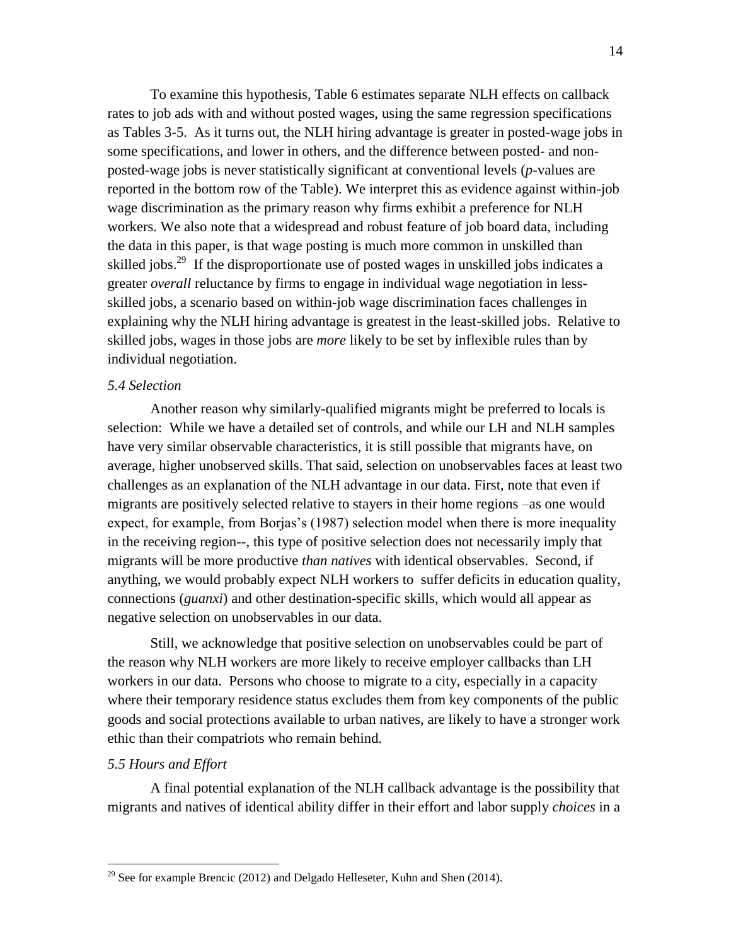To examine this hypothesis, Table 6 estimates separate NLH effects on callback rates to job ads with and without posted wages, using the same regression specifications as Tables 3-5. As it turns out, the NLH hiring advantage is greater in posted-wage jobs in some specifications, and lower in others, and the difference between posted- and nonposted-wage jobs is never statistically significant at conventional levels (*p*-values are reported in the bottom row of the Table). We interpret this as evidence against within-job wage discrimination as the primary reason why firms exhibit a preference for NLH workers. We also note that a widespread and robust feature of job board data, including the data in this paper, is that wage posting is much more common in unskilled than skilled jobs.<sup>29</sup> If the disproportionate use of posted wages in unskilled jobs indicates a greater *overall* reluctance by firms to engage in individual wage negotiation in lessskilled jobs, a scenario based on within-job wage discrimination faces challenges in explaining why the NLH hiring advantage is greatest in the least-skilled jobs. Relative to skilled jobs, wages in those jobs are *more* likely to be set by inflexible rules than by individual negotiation.

#### *5.4 Selection*

Another reason why similarly-qualified migrants might be preferred to locals is selection: While we have a detailed set of controls, and while our LH and NLH samples have very similar observable characteristics, it is still possible that migrants have, on average, higher unobserved skills. That said, selection on unobservables faces at least two challenges as an explanation of the NLH advantage in our data. First, note that even if migrants are positively selected relative to stayers in their home regions –as one would expect, for example, from Borjas's (1987) selection model when there is more inequality in the receiving region--, this type of positive selection does not necessarily imply that migrants will be more productive *than natives* with identical observables. Second, if anything, we would probably expect NLH workers to suffer deficits in education quality, connections (*guanxi*) and other destination-specific skills, which would all appear as negative selection on unobservables in our data.

Still, we acknowledge that positive selection on unobservables could be part of the reason why NLH workers are more likely to receive employer callbacks than LH workers in our data. Persons who choose to migrate to a city, especially in a capacity where their temporary residence status excludes them from key components of the public goods and social protections available to urban natives, are likely to have a stronger work ethic than their compatriots who remain behind.

#### *5.5 Hours and Effort*

 $\overline{a}$ 

A final potential explanation of the NLH callback advantage is the possibility that migrants and natives of identical ability differ in their effort and labor supply *choices* in a

<sup>&</sup>lt;sup>29</sup> See for example Brencic (2012) and Delgado Helleseter, Kuhn and Shen (2014).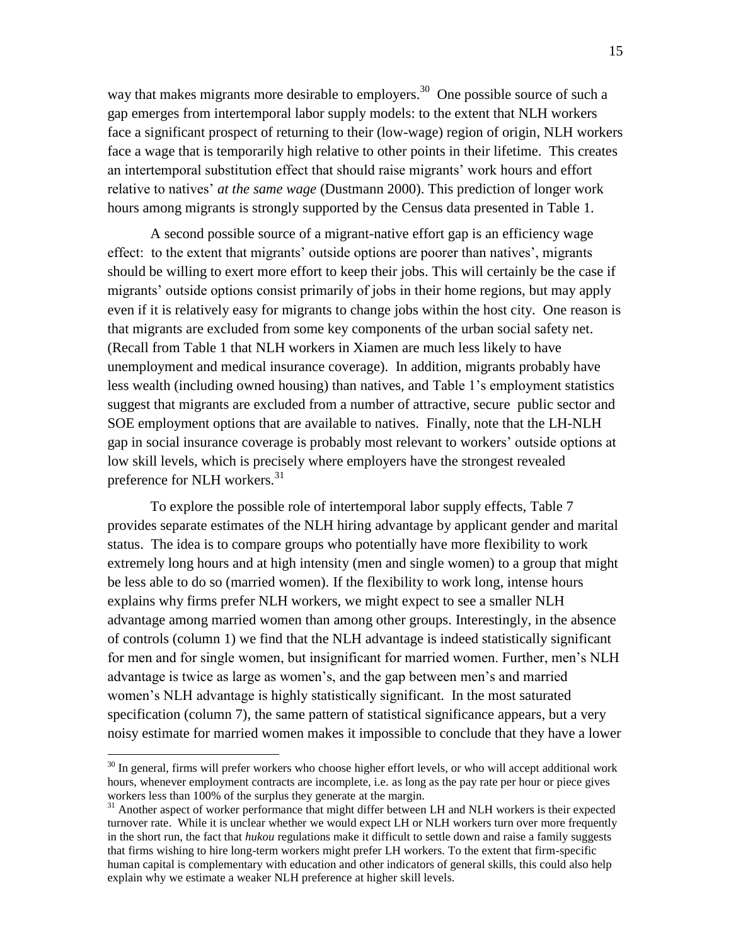way that makes migrants more desirable to employers.<sup>30</sup> One possible source of such a gap emerges from intertemporal labor supply models: to the extent that NLH workers face a significant prospect of returning to their (low-wage) region of origin, NLH workers face a wage that is temporarily high relative to other points in their lifetime. This creates an intertemporal substitution effect that should raise migrants' work hours and effort relative to natives' *at the same wage* (Dustmann 2000). This prediction of longer work hours among migrants is strongly supported by the Census data presented in Table 1.

A second possible source of a migrant-native effort gap is an efficiency wage effect: to the extent that migrants' outside options are poorer than natives', migrants should be willing to exert more effort to keep their jobs. This will certainly be the case if migrants' outside options consist primarily of jobs in their home regions, but may apply even if it is relatively easy for migrants to change jobs within the host city. One reason is that migrants are excluded from some key components of the urban social safety net. (Recall from Table 1 that NLH workers in Xiamen are much less likely to have unemployment and medical insurance coverage). In addition, migrants probably have less wealth (including owned housing) than natives, and Table 1's employment statistics suggest that migrants are excluded from a number of attractive, secure public sector and SOE employment options that are available to natives. Finally, note that the LH-NLH gap in social insurance coverage is probably most relevant to workers' outside options at low skill levels, which is precisely where employers have the strongest revealed preference for NLH workers.<sup>31</sup>

To explore the possible role of intertemporal labor supply effects, Table 7 provides separate estimates of the NLH hiring advantage by applicant gender and marital status. The idea is to compare groups who potentially have more flexibility to work extremely long hours and at high intensity (men and single women) to a group that might be less able to do so (married women). If the flexibility to work long, intense hours explains why firms prefer NLH workers, we might expect to see a smaller NLH advantage among married women than among other groups. Interestingly, in the absence of controls (column 1) we find that the NLH advantage is indeed statistically significant for men and for single women, but insignificant for married women. Further, men's NLH advantage is twice as large as women's, and the gap between men's and married women's NLH advantage is highly statistically significant. In the most saturated specification (column 7), the same pattern of statistical significance appears, but a very noisy estimate for married women makes it impossible to conclude that they have a lower

 $30$  In general, firms will prefer workers who choose higher effort levels, or who will accept additional work hours, whenever employment contracts are incomplete, i.e. as long as the pay rate per hour or piece gives workers less than 100% of the surplus they generate at the margin.

<sup>&</sup>lt;sup>31</sup> Another aspect of worker performance that might differ between LH and NLH workers is their expected turnover rate. While it is unclear whether we would expect LH or NLH workers turn over more frequently in the short run, the fact that *hukou* regulations make it difficult to settle down and raise a family suggests that firms wishing to hire long-term workers might prefer LH workers. To the extent that firm-specific human capital is complementary with education and other indicators of general skills, this could also help explain why we estimate a weaker NLH preference at higher skill levels.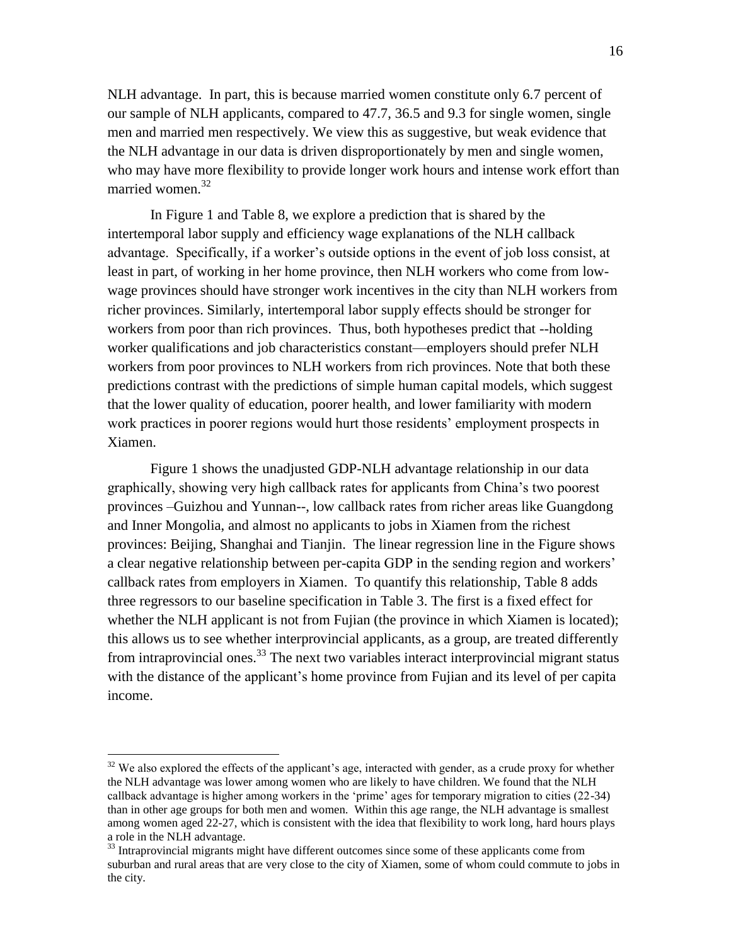NLH advantage. In part, this is because married women constitute only 6.7 percent of our sample of NLH applicants, compared to 47.7, 36.5 and 9.3 for single women, single men and married men respectively. We view this as suggestive, but weak evidence that the NLH advantage in our data is driven disproportionately by men and single women, who may have more flexibility to provide longer work hours and intense work effort than married women.<sup>32</sup>

In Figure 1 and Table 8, we explore a prediction that is shared by the intertemporal labor supply and efficiency wage explanations of the NLH callback advantage. Specifically, if a worker's outside options in the event of job loss consist, at least in part, of working in her home province, then NLH workers who come from lowwage provinces should have stronger work incentives in the city than NLH workers from richer provinces. Similarly, intertemporal labor supply effects should be stronger for workers from poor than rich provinces. Thus, both hypotheses predict that --holding worker qualifications and job characteristics constant—employers should prefer NLH workers from poor provinces to NLH workers from rich provinces. Note that both these predictions contrast with the predictions of simple human capital models, which suggest that the lower quality of education, poorer health, and lower familiarity with modern work practices in poorer regions would hurt those residents' employment prospects in Xiamen.

Figure 1 shows the unadjusted GDP-NLH advantage relationship in our data graphically, showing very high callback rates for applicants from China's two poorest provinces –Guizhou and Yunnan--, low callback rates from richer areas like Guangdong and Inner Mongolia, and almost no applicants to jobs in Xiamen from the richest provinces: Beijing, Shanghai and Tianjin. The linear regression line in the Figure shows a clear negative relationship between per-capita GDP in the sending region and workers' callback rates from employers in Xiamen. To quantify this relationship, Table 8 adds three regressors to our baseline specification in Table 3. The first is a fixed effect for whether the NLH applicant is not from Fujian (the province in which Xiamen is located); this allows us to see whether interprovincial applicants, as a group, are treated differently from intraprovincial ones.<sup>33</sup> The next two variables interact interprovincial migrant status with the distance of the applicant's home province from Fujian and its level of per capita income.

<sup>&</sup>lt;sup>32</sup> We also explored the effects of the applicant's age, interacted with gender, as a crude proxy for whether the NLH advantage was lower among women who are likely to have children. We found that the NLH callback advantage is higher among workers in the 'prime' ages for temporary migration to cities (22-34) than in other age groups for both men and women. Within this age range, the NLH advantage is smallest among women aged 22-27, which is consistent with the idea that flexibility to work long, hard hours plays a role in the NLH advantage.

<sup>&</sup>lt;sup>33</sup> Intraprovincial migrants might have different outcomes since some of these applicants come from suburban and rural areas that are very close to the city of Xiamen, some of whom could commute to jobs in the city.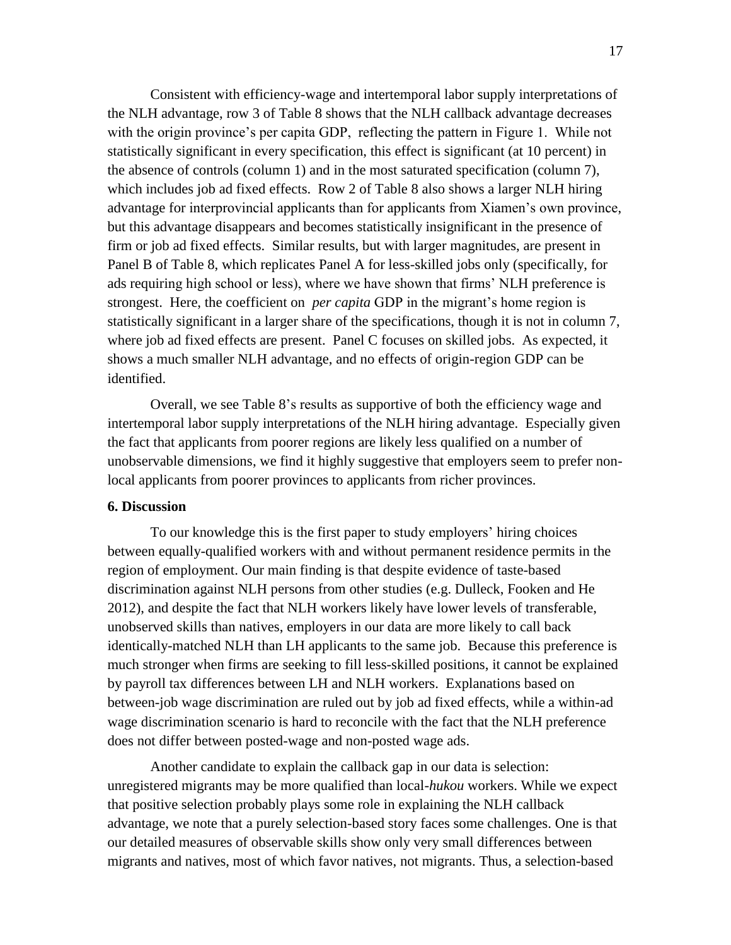Consistent with efficiency-wage and intertemporal labor supply interpretations of the NLH advantage, row 3 of Table 8 shows that the NLH callback advantage decreases with the origin province's per capita GDP, reflecting the pattern in Figure 1. While not statistically significant in every specification, this effect is significant (at 10 percent) in the absence of controls (column 1) and in the most saturated specification (column 7), which includes job ad fixed effects. Row 2 of Table 8 also shows a larger NLH hiring advantage for interprovincial applicants than for applicants from Xiamen's own province, but this advantage disappears and becomes statistically insignificant in the presence of firm or job ad fixed effects. Similar results, but with larger magnitudes, are present in Panel B of Table 8, which replicates Panel A for less-skilled jobs only (specifically, for ads requiring high school or less), where we have shown that firms' NLH preference is strongest. Here, the coefficient on *per capita* GDP in the migrant's home region is statistically significant in a larger share of the specifications, though it is not in column 7, where job ad fixed effects are present. Panel C focuses on skilled jobs. As expected, it shows a much smaller NLH advantage, and no effects of origin-region GDP can be identified.

Overall, we see Table 8's results as supportive of both the efficiency wage and intertemporal labor supply interpretations of the NLH hiring advantage. Especially given the fact that applicants from poorer regions are likely less qualified on a number of unobservable dimensions, we find it highly suggestive that employers seem to prefer nonlocal applicants from poorer provinces to applicants from richer provinces.

#### **6. Discussion**

To our knowledge this is the first paper to study employers' hiring choices between equally-qualified workers with and without permanent residence permits in the region of employment. Our main finding is that despite evidence of taste-based discrimination against NLH persons from other studies (e.g. Dulleck, Fooken and He 2012), and despite the fact that NLH workers likely have lower levels of transferable, unobserved skills than natives, employers in our data are more likely to call back identically-matched NLH than LH applicants to the same job. Because this preference is much stronger when firms are seeking to fill less-skilled positions, it cannot be explained by payroll tax differences between LH and NLH workers. Explanations based on between-job wage discrimination are ruled out by job ad fixed effects, while a within-ad wage discrimination scenario is hard to reconcile with the fact that the NLH preference does not differ between posted-wage and non-posted wage ads.

Another candidate to explain the callback gap in our data is selection: unregistered migrants may be more qualified than local-*hukou* workers. While we expect that positive selection probably plays some role in explaining the NLH callback advantage, we note that a purely selection-based story faces some challenges. One is that our detailed measures of observable skills show only very small differences between migrants and natives, most of which favor natives, not migrants. Thus, a selection-based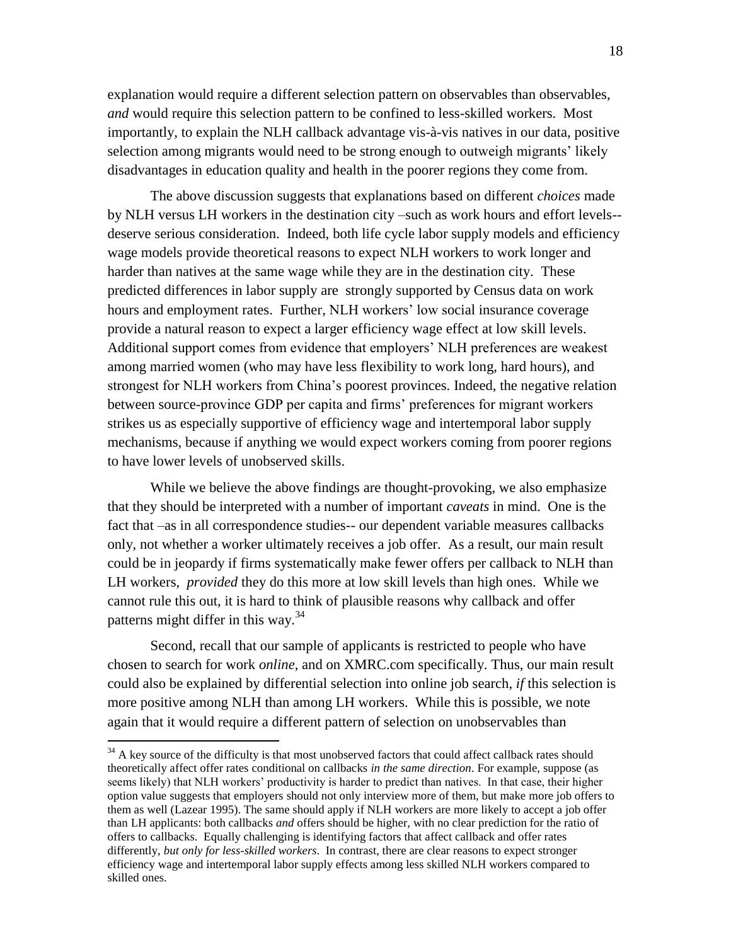explanation would require a different selection pattern on observables than observables, *and* would require this selection pattern to be confined to less-skilled workers. Most importantly, to explain the NLH callback advantage vis-à-vis natives in our data, positive selection among migrants would need to be strong enough to outweigh migrants' likely disadvantages in education quality and health in the poorer regions they come from.

The above discussion suggests that explanations based on different *choices* made by NLH versus LH workers in the destination city –such as work hours and effort levels- deserve serious consideration. Indeed, both life cycle labor supply models and efficiency wage models provide theoretical reasons to expect NLH workers to work longer and harder than natives at the same wage while they are in the destination city. These predicted differences in labor supply are strongly supported by Census data on work hours and employment rates. Further, NLH workers' low social insurance coverage provide a natural reason to expect a larger efficiency wage effect at low skill levels. Additional support comes from evidence that employers' NLH preferences are weakest among married women (who may have less flexibility to work long, hard hours), and strongest for NLH workers from China's poorest provinces. Indeed, the negative relation between source-province GDP per capita and firms' preferences for migrant workers strikes us as especially supportive of efficiency wage and intertemporal labor supply mechanisms, because if anything we would expect workers coming from poorer regions to have lower levels of unobserved skills.

While we believe the above findings are thought-provoking, we also emphasize that they should be interpreted with a number of important *caveats* in mind. One is the fact that –as in all correspondence studies-- our dependent variable measures callbacks only, not whether a worker ultimately receives a job offer. As a result, our main result could be in jeopardy if firms systematically make fewer offers per callback to NLH than LH workers, *provided* they do this more at low skill levels than high ones. While we cannot rule this out, it is hard to think of plausible reasons why callback and offer patterns might differ in this way. $34$ 

Second, recall that our sample of applicants is restricted to people who have chosen to search for work *online*, and on XMRC.com specifically. Thus, our main result could also be explained by differential selection into online job search, *if* this selection is more positive among NLH than among LH workers. While this is possible, we note again that it would require a different pattern of selection on unobservables than

 $34$  A key source of the difficulty is that most unobserved factors that could affect callback rates should theoretically affect offer rates conditional on callbacks *in the same direction*. For example, suppose (as seems likely) that NLH workers' productivity is harder to predict than natives. In that case, their higher option value suggests that employers should not only interview more of them, but make more job offers to them as well (Lazear 1995). The same should apply if NLH workers are more likely to accept a job offer than LH applicants: both callbacks *and* offers should be higher, with no clear prediction for the ratio of offers to callbacks. Equally challenging is identifying factors that affect callback and offer rates differently, *but only for less-skilled workers*. In contrast, there are clear reasons to expect stronger efficiency wage and intertemporal labor supply effects among less skilled NLH workers compared to skilled ones.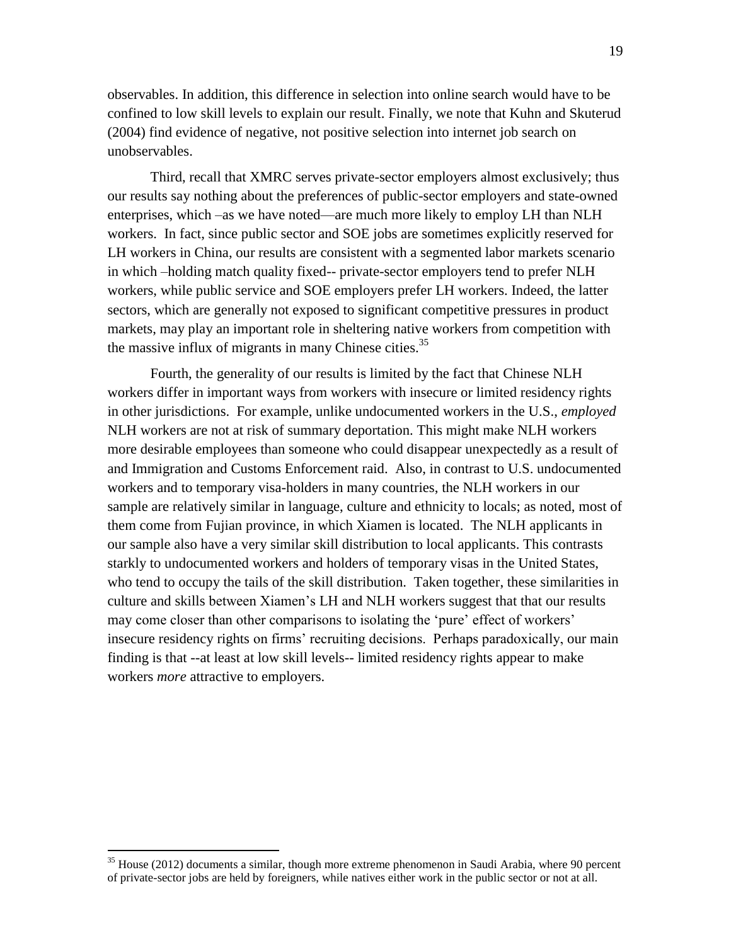observables. In addition, this difference in selection into online search would have to be confined to low skill levels to explain our result. Finally, we note that Kuhn and Skuterud (2004) find evidence of negative, not positive selection into internet job search on unobservables.

Third, recall that XMRC serves private-sector employers almost exclusively; thus our results say nothing about the preferences of public-sector employers and state-owned enterprises, which –as we have noted—are much more likely to employ LH than NLH workers. In fact, since public sector and SOE jobs are sometimes explicitly reserved for LH workers in China, our results are consistent with a segmented labor markets scenario in which –holding match quality fixed-- private-sector employers tend to prefer NLH workers, while public service and SOE employers prefer LH workers. Indeed, the latter sectors, which are generally not exposed to significant competitive pressures in product markets, may play an important role in sheltering native workers from competition with the massive influx of migrants in many Chinese cities. $35$ 

Fourth, the generality of our results is limited by the fact that Chinese NLH workers differ in important ways from workers with insecure or limited residency rights in other jurisdictions. For example, unlike undocumented workers in the U.S., *employed* NLH workers are not at risk of summary deportation. This might make NLH workers more desirable employees than someone who could disappear unexpectedly as a result of and Immigration and Customs Enforcement raid. Also, in contrast to U.S. undocumented workers and to temporary visa-holders in many countries, the NLH workers in our sample are relatively similar in language, culture and ethnicity to locals; as noted, most of them come from Fujian province, in which Xiamen is located. The NLH applicants in our sample also have a very similar skill distribution to local applicants. This contrasts starkly to undocumented workers and holders of temporary visas in the United States, who tend to occupy the tails of the skill distribution. Taken together, these similarities in culture and skills between Xiamen's LH and NLH workers suggest that that our results may come closer than other comparisons to isolating the 'pure' effect of workers' insecure residency rights on firms' recruiting decisions. Perhaps paradoxically, our main finding is that --at least at low skill levels-- limited residency rights appear to make workers *more* attractive to employers.

 $35$  House (2012) documents a similar, though more extreme phenomenon in Saudi Arabia, where 90 percent of private-sector jobs are held by foreigners, while natives either work in the public sector or not at all.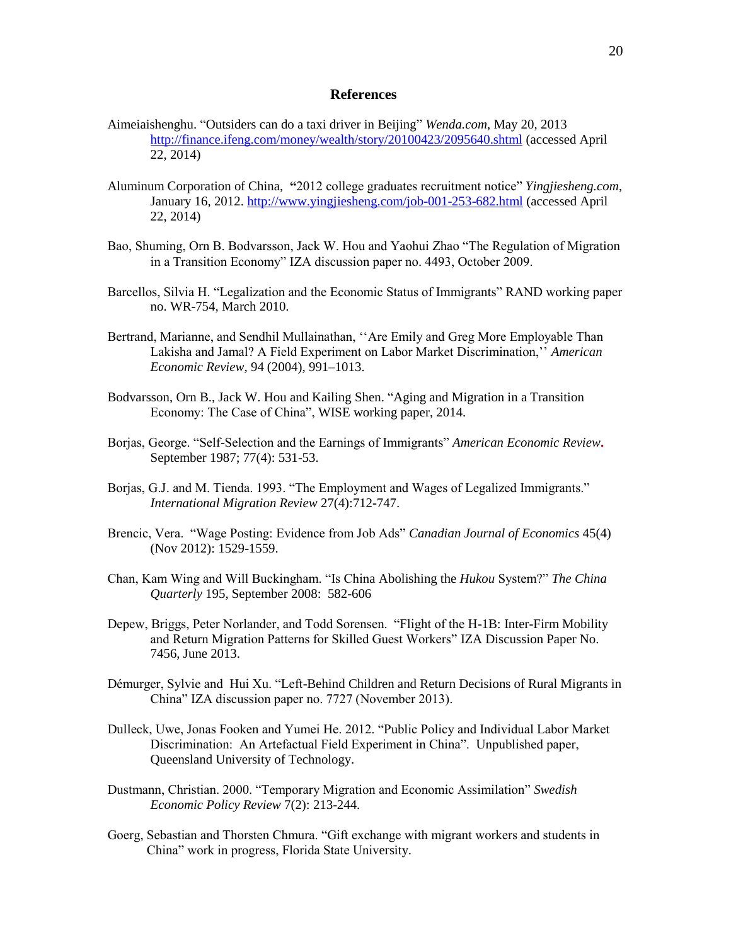#### **References**

- Aimeiaishenghu. "Outsiders can do a taxi driver in Beijing" *Wenda.com*, May 20, 2013 <http://finance.ifeng.com/money/wealth/story/20100423/2095640.shtml> (accessed April 22, 2014)
- Aluminum Corporation of China, **"**2012 college graduates recruitment notice" *Yingjiesheng.com*, January 16, 2012.<http://www.yingjiesheng.com/job-001-253-682.html> (accessed April 22, 2014)
- Bao, Shuming, Orn B. Bodvarsson, Jack W. Hou and Yaohui Zhao "The Regulation of Migration in a Transition Economy" IZA discussion paper no. 4493, October 2009.
- Barcellos, Silvia H. "Legalization and the Economic Status of Immigrants" RAND working paper no. WR-754, March 2010.
- Bertrand, Marianne, and Sendhil Mullainathan, ''Are Emily and Greg More Employable Than Lakisha and Jamal? A Field Experiment on Labor Market Discrimination,'' *American Economic Review*, 94 (2004), 991–1013.
- Bodvarsson, Orn B., Jack W. Hou and Kailing Shen. "Aging and Migration in a Transition Economy: The Case of China", WISE working paper, 2014.
- Borjas, George. "Self-Selection and the Earnings of Immigrants" *American Economic Review***.**  September 1987; 77(4): 531-53.
- Borjas, G.J. and M. Tienda. 1993. "The Employment and Wages of Legalized Immigrants." *International Migration Review* 27(4):712-747.
- Brencic, Vera. "Wage Posting: Evidence from Job Ads" *Canadian Journal of Economics* 45(4) (Nov 2012): 1529-1559.
- Chan, Kam Wing and Will Buckingham. "Is China Abolishing the *Hukou* System?" *The China Quarterly* 195, September 2008: 582-606
- Depew, Briggs, Peter Norlander, and Todd Sorensen. "Flight of the H-1B: Inter-Firm Mobility and Return Migration Patterns for Skilled Guest Workers" [IZA Discussion Paper No.](http://papers.ssrn.com/sol3/papers.cfm?abstract_id=2287066##)  [7456,](http://papers.ssrn.com/sol3/papers.cfm?abstract_id=2287066##) June 2013.
- Démurger, Sylvie and Hui Xu. "Left-Behind Children and Return Decisions of Rural Migrants in China" IZA discussion paper no. 7727 (November 2013).
- Dulleck, Uwe, Jonas Fooken and Yumei He. 2012. "Public Policy and Individual Labor Market Discrimination: An Artefactual Field Experiment in China". Unpublished paper, Queensland University of Technology.
- Dustmann, Christian. 2000. "Temporary Migration and Economic Assimilation" *Swedish Economic Policy Review* 7(2): 213-244.
- Goerg, Sebastian and Thorsten Chmura. "Gift exchange with migrant workers and students in China" work in progress, Florida State University.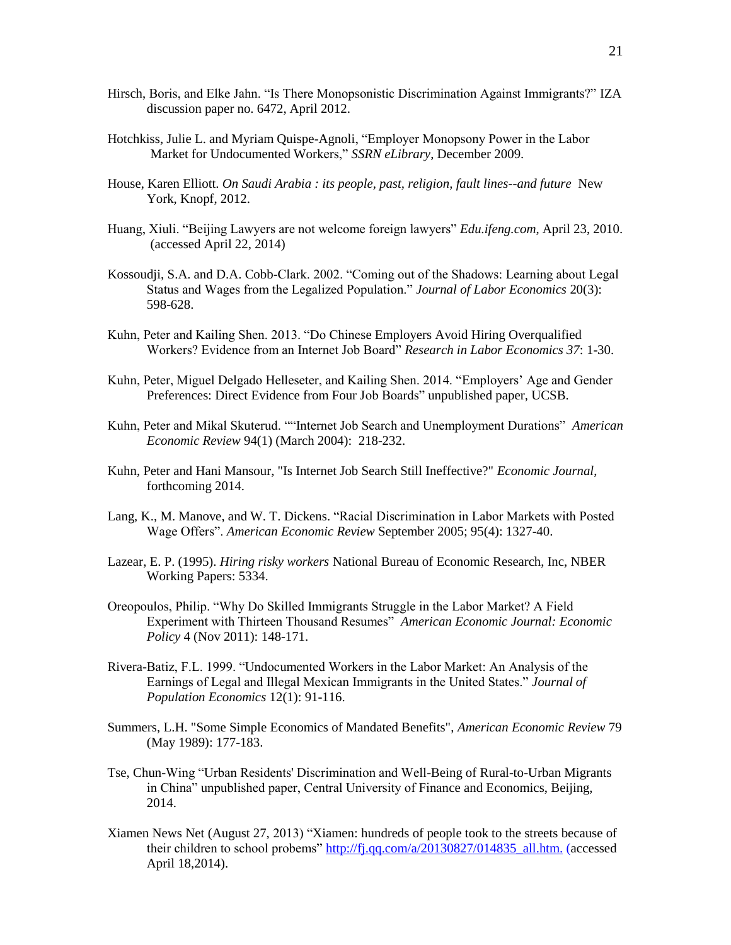- Hirsch, Boris, and Elke Jahn. "Is There Monopsonistic Discrimination Against Immigrants?" IZA discussion paper no. 6472, April 2012.
- Hotchkiss, Julie L. and Myriam Quispe-Agnoli, "Employer Monopsony Power in the Labor Market for Undocumented Workers," *SSRN eLibrary*, December 2009.
- House, Karen Elliott. *On Saudi Arabia : its people, past, religion, fault lines--and future* New York, Knopf, 2012.
- Huang, Xiuli. "Beijing Lawyers are not welcome foreign lawyers" *Edu.ifeng.com*, April 23, 2010. (accessed April 22, 2014)
- Kossoudji, S.A. and D.A. Cobb-Clark. 2002. "Coming out of the Shadows: Learning about Legal Status and Wages from the Legalized Population." *Journal of Labor Economics* 20(3): 598-628.
- Kuhn, Peter and Kailing Shen. 2013. "Do Chinese Employers Avoid Hiring Overqualified Workers? Evidence from an Internet Job Board" *Research in Labor Economics 37*: 1-30.
- Kuhn, Peter, Miguel Delgado Helleseter, and Kailing Shen. 2014. "Employers' Age and Gender Preferences: Direct Evidence from Four Job Boards" unpublished paper, UCSB.
- Kuhn, Peter and Mikal Skuterud. ""Internet Job Search and Unemployment Durations" *American Economic Review* 94(1) (March 2004): 218-232.
- Kuhn, Peter and Hani Mansour, "Is Internet Job Search Still Ineffective?" *Economic Journal*, forthcoming 2014.
- Lang, K., M. Manove, and W. T. Dickens. "Racial Discrimination in Labor Markets with Posted Wage Offers". *American Economic Review* September 2005; 95(4): 1327-40.
- Lazear, E. P. (1995). *Hiring risky workers* National Bureau of Economic Research, Inc, NBER Working Papers: 5334.
- Oreopoulos, Philip. "Why Do Skilled Immigrants Struggle in the Labor Market? A Field Experiment with Thirteen Thousand Resumes" *American Economic Journal: Economic Policy* 4 (Nov 2011): 148-171.
- Rivera-Batiz, F.L. 1999. "Undocumented Workers in the Labor Market: An Analysis of the Earnings of Legal and Illegal Mexican Immigrants in the United States." *Journal of Population Economics* 12(1): 91-116.
- Summers, L.H. "Some Simple Economics of Mandated Benefits", *American Economic Review* 79 (May 1989): 177-183.
- Tse, Chun-Wing "Urban Residents' Discrimination and Well-Being of Rural-to-Urban Migrants in China" unpublished paper, Central University of Finance and Economics, Beijing, 2014.
- Xiamen News Net (August 27, 2013) "Xiamen: hundreds of people took to the streets because of their children to school probems" [http://fj.qq.com/a/20130827/014835\\_all.htm.](http://fj.qq.com/a/20130827/014835_all.htm) (accessed April 18,2014).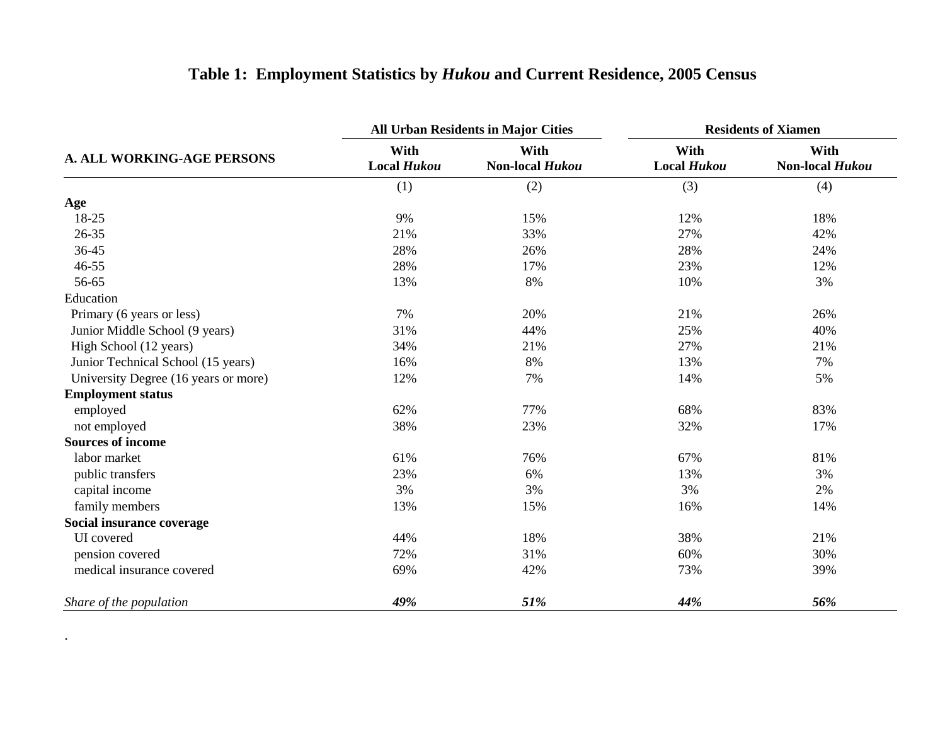|                                      |                            | <b>All Urban Residents in Major Cities</b> | <b>Residents of Xiamen</b> |                         |  |
|--------------------------------------|----------------------------|--------------------------------------------|----------------------------|-------------------------|--|
| <b>A. ALL WORKING-AGE PERSONS</b>    | With<br><b>Local Hukou</b> | With<br>Non-local Hukou                    | With<br><b>Local Hukou</b> | With<br>Non-local Hukou |  |
|                                      | (1)                        | (2)                                        | (3)                        | (4)                     |  |
| Age                                  |                            |                                            |                            |                         |  |
| 18-25                                | 9%                         | 15%                                        | 12%                        | 18%                     |  |
| 26-35                                | 21%                        | 33%                                        | 27%                        | 42%                     |  |
| 36-45                                | 28%                        | 26%                                        | 28%                        | 24%                     |  |
| 46-55                                | 28%                        | 17%                                        | 23%                        | 12%                     |  |
| 56-65                                | 13%                        | 8%                                         | 10%                        | 3%                      |  |
| Education                            |                            |                                            |                            |                         |  |
| Primary (6 years or less)            | 7%                         | 20%                                        | 21%                        | 26%                     |  |
| Junior Middle School (9 years)       | 31%                        | 44%                                        | 25%                        | 40%                     |  |
| High School (12 years)               | 34%                        | 21%                                        | 27%                        | 21%                     |  |
| Junior Technical School (15 years)   | 16%                        | 8%                                         | 13%                        | 7%                      |  |
| University Degree (16 years or more) | 12%                        | 7%                                         | 14%                        | 5%                      |  |
| <b>Employment status</b>             |                            |                                            |                            |                         |  |
| employed                             | 62%                        | 77%                                        | 68%                        | 83%                     |  |
| not employed                         | 38%                        | 23%                                        | 32%                        | 17%                     |  |
| <b>Sources of income</b>             |                            |                                            |                            |                         |  |
| labor market                         | 61%                        | 76%                                        | 67%                        | 81%                     |  |
| public transfers                     | 23%                        | 6%                                         | 13%                        | 3%                      |  |
| capital income                       | 3%                         | 3%                                         | 3%                         | 2%                      |  |
| family members                       | 13%                        | 15%                                        | 16%                        | 14%                     |  |
| Social insurance coverage            |                            |                                            |                            |                         |  |
| UI covered                           | 44%                        | 18%                                        | 38%                        | 21%                     |  |
| pension covered                      | 72%                        | 31%                                        | 60%                        | 30%                     |  |
| medical insurance covered            | 69%                        | 42%                                        | 73%                        | 39%                     |  |
| Share of the population              | 49%                        | 51%                                        | 44%                        | 56%                     |  |

.

# **Table 1: Employment Statistics by** *Hukou* **and Current Residence, 2005 Census**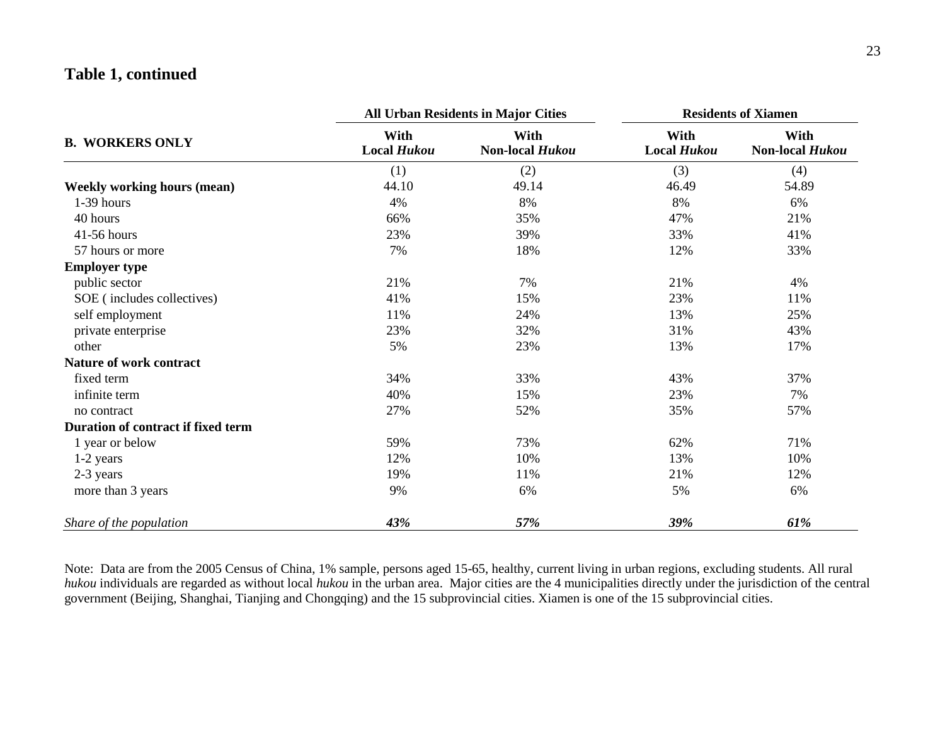# **Table 1, continued**

|                                    |                            | <b>All Urban Residents in Major Cities</b> | <b>Residents of Xiamen</b> |                         |  |
|------------------------------------|----------------------------|--------------------------------------------|----------------------------|-------------------------|--|
| <b>B. WORKERS ONLY</b>             | With<br><b>Local Hukou</b> | With<br>Non-local Hukou                    | With<br><b>Local Hukou</b> | With<br>Non-local Hukou |  |
|                                    | (1)                        | (2)                                        | (3)                        | (4)                     |  |
| <b>Weekly working hours (mean)</b> | 44.10                      | 49.14                                      | 46.49                      | 54.89                   |  |
| 1-39 hours                         | 4%                         | 8%                                         | 8%                         | 6%                      |  |
| 40 hours                           | 66%                        | 35%                                        | 47%                        | 21%                     |  |
| 41-56 hours                        | 23%                        | 39%                                        | 33%                        | 41%                     |  |
| 57 hours or more                   | 7%                         | 18%                                        | 12%                        | 33%                     |  |
| <b>Employer type</b>               |                            |                                            |                            |                         |  |
| public sector                      | 21%                        | 7%                                         | 21%                        | 4%                      |  |
| SOE (includes collectives)         | 41%                        | 15%                                        | 23%                        | 11%                     |  |
| self employment                    | 11%                        | 24%                                        | 13%                        | 25%                     |  |
| private enterprise                 | 23%                        | 32%                                        | 31%                        | 43%                     |  |
| other                              | 5%                         | 23%                                        | 13%                        | 17%                     |  |
| Nature of work contract            |                            |                                            |                            |                         |  |
| fixed term                         | 34%                        | 33%                                        | 43%                        | 37%                     |  |
| infinite term                      | 40%                        | 15%                                        | 23%                        | 7%                      |  |
| no contract                        | 27%                        | 52%                                        | 35%                        | 57%                     |  |
| Duration of contract if fixed term |                            |                                            |                            |                         |  |
| 1 year or below                    | 59%                        | 73%                                        | 62%                        | 71%                     |  |
| 1-2 years                          | 12%                        | 10%                                        | 13%                        | 10%                     |  |
| 2-3 years                          | 19%                        | 11%                                        | 21%                        | 12%                     |  |
| more than 3 years                  | 9%                         | 6%                                         | 5%                         | 6%                      |  |
| Share of the population            | 43%                        | 57%                                        | 39%                        | 61%                     |  |

Note: Data are from the 2005 Census of China, 1% sample, persons aged 15-65, healthy, current living in urban regions, excluding students. All rural *hukou* individuals are regarded as without local *hukou* in the urban area. Major cities are the 4 municipalities directly under the jurisdiction of the central government (Beijing, Shanghai, Tianjing and Chongqing) and the 15 subprovincial cities. Xiamen is one of the 15 subprovincial cities.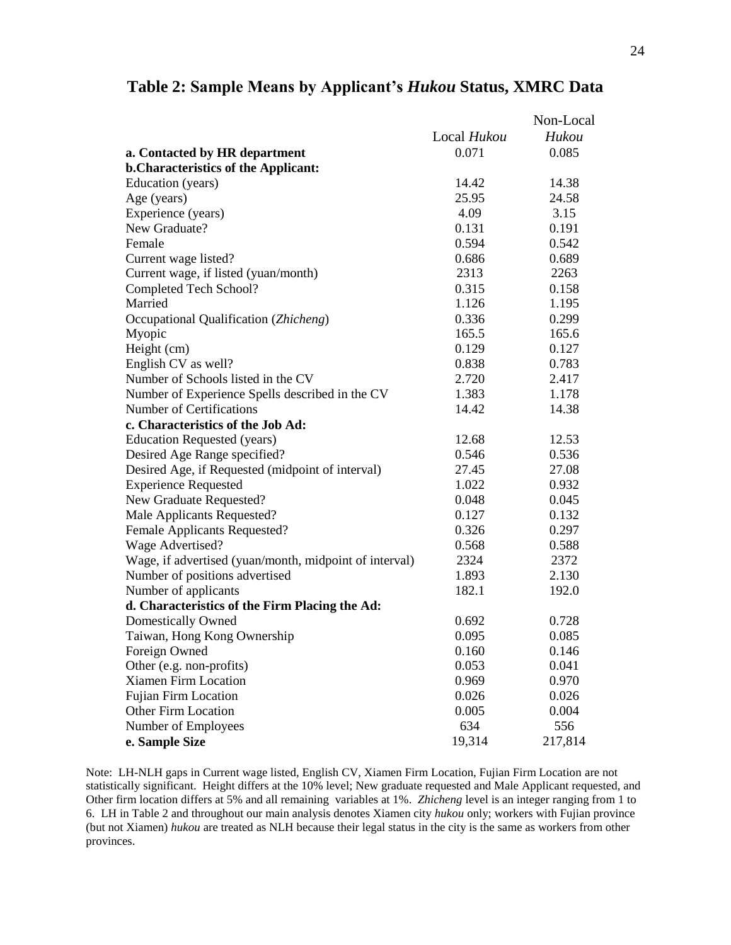|                                                        |             | Non-Local |
|--------------------------------------------------------|-------------|-----------|
|                                                        | Local Hukou | Hukou     |
| a. Contacted by HR department                          | 0.071       | 0.085     |
| <b>b.Characteristics of the Applicant:</b>             |             |           |
| Education (years)                                      | 14.42       | 14.38     |
| Age (years)                                            | 25.95       | 24.58     |
| Experience (years)                                     | 4.09        | 3.15      |
| New Graduate?                                          | 0.131       | 0.191     |
| Female                                                 | 0.594       | 0.542     |
| Current wage listed?                                   | 0.686       | 0.689     |
| Current wage, if listed (yuan/month)                   | 2313        | 2263      |
| Completed Tech School?                                 | 0.315       | 0.158     |
| Married                                                | 1.126       | 1.195     |
| Occupational Qualification (Zhicheng)                  | 0.336       | 0.299     |
| Myopic                                                 | 165.5       | 165.6     |
| Height (cm)                                            | 0.129       | 0.127     |
| English CV as well?                                    | 0.838       | 0.783     |
| Number of Schools listed in the CV                     | 2.720       | 2.417     |
| Number of Experience Spells described in the CV        | 1.383       | 1.178     |
| Number of Certifications                               | 14.42       | 14.38     |
| c. Characteristics of the Job Ad:                      |             |           |
| <b>Education Requested (years)</b>                     | 12.68       | 12.53     |
| Desired Age Range specified?                           | 0.546       | 0.536     |
| Desired Age, if Requested (midpoint of interval)       | 27.45       | 27.08     |
| <b>Experience Requested</b>                            | 1.022       | 0.932     |
| New Graduate Requested?                                | 0.048       | 0.045     |
| Male Applicants Requested?                             | 0.127       | 0.132     |
| Female Applicants Requested?                           | 0.326       | 0.297     |
| Wage Advertised?                                       | 0.568       | 0.588     |
| Wage, if advertised (yuan/month, midpoint of interval) | 2324        | 2372      |
| Number of positions advertised                         | 1.893       | 2.130     |
| Number of applicants                                   | 182.1       | 192.0     |
| d. Characteristics of the Firm Placing the Ad:         |             |           |
| Domestically Owned                                     | 0.692       | 0.728     |
| Taiwan, Hong Kong Ownership                            | 0.095       | 0.085     |
| Foreign Owned                                          | 0.160       | 0.146     |
| Other (e.g. non-profits)                               | 0.053       | 0.041     |
| Xiamen Firm Location                                   | 0.969       | 0.970     |
| <b>Fujian Firm Location</b>                            | 0.026       | 0.026     |
| <b>Other Firm Location</b>                             | 0.005       | 0.004     |
| Number of Employees                                    | 634         | 556       |
| e. Sample Size                                         | 19,314      | 217,814   |

### **Table 2: Sample Means by Applicant's** *Hukou* **Status, XMRC Data**

Note: LH-NLH gaps in Current wage listed, English CV, Xiamen Firm Location, Fujian Firm Location are not statistically significant. Height differs at the 10% level; New graduate requested and Male Applicant requested, and Other firm location differs at 5% and all remaining variables at 1%. *Zhicheng* level is an integer ranging from 1 to 6. LH in Table 2 and throughout our main analysis denotes Xiamen city *hukou* only; workers with Fujian province (but not Xiamen) *hukou* are treated as NLH because their legal status in the city is the same as workers from other provinces.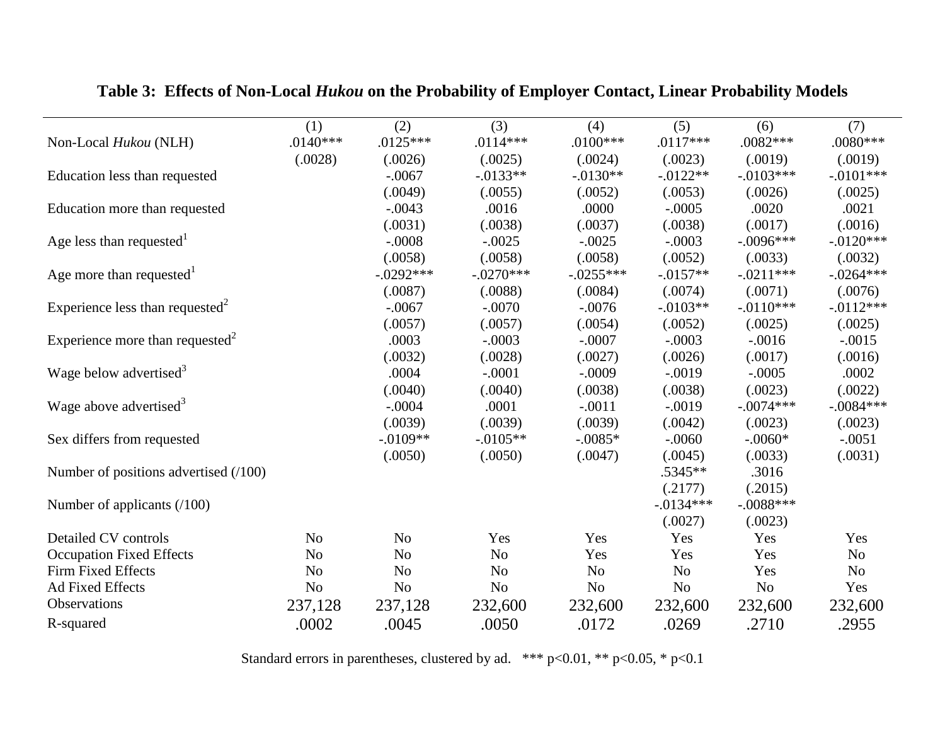|                                             | (1)            | (2)            | (3)            | (4)            | (5)            | (6)            | (7)            |
|---------------------------------------------|----------------|----------------|----------------|----------------|----------------|----------------|----------------|
| Non-Local Hukou (NLH)                       | $.0140***$     | $.0125***$     | $.0114***$     | $.0100***$     | $.0117***$     | $.0082***$     | $.0080***$     |
|                                             | (.0028)        | (.0026)        | (.0025)        | (.0024)        | (.0023)        | (.0019)        | (.0019)        |
| Education less than requested               |                | $-.0067$       | $-0.0133**$    | $-.0130**$     | $-0.0122**$    | $-.0103***$    | $-.0101***$    |
|                                             |                | (.0049)        | (.0055)        | (.0052)        | (.0053)        | (.0026)        | (.0025)        |
| Education more than requested               |                | $-.0043$       | .0016          | .0000          | $-.0005$       | .0020          | .0021          |
|                                             |                | (.0031)        | (.0038)        | (.0037)        | (.0038)        | (.0017)        | (.0016)        |
| Age less than requested <sup>1</sup>        |                | $-.0008$       | $-.0025$       | $-.0025$       | $-.0003$       | $-.0096***$    | $-.0120***$    |
|                                             |                | (.0058)        | (.0058)        | (.0058)        | (.0052)        | (.0033)        | (.0032)        |
| Age more than requested <sup>1</sup>        |                | $-.0292***$    | $-.0270***$    | $-.0255***$    | $-0.0157**$    | $-.0211***$    | $-.0264***$    |
|                                             |                | (.0087)        | (.0088)        | (.0084)        | (.0074)        | (.0071)        | (.0076)        |
| Experience less than requested <sup>2</sup> |                | $-.0067$       | $-.0070$       | $-.0076$       | $-.0103**$     | $-.0110***$    | $-0.0112***$   |
|                                             |                | (.0057)        | (.0057)        | (.0054)        | (.0052)        | (.0025)        | (.0025)        |
| Experience more than requested <sup>2</sup> |                | .0003          | $-.0003$       | $-.0007$       | $-.0003$       | $-.0016$       | $-.0015$       |
|                                             |                | (.0032)        | (.0028)        | (.0027)        | (.0026)        | (.0017)        | (.0016)        |
| Wage below advertised <sup>3</sup>          |                | .0004          | $-.0001$       | $-.0009$       | $-.0019$       | $-.0005$       | .0002          |
|                                             |                | (.0040)        | (.0040)        | (.0038)        | (.0038)        | (.0023)        | (.0022)        |
| Wage above advertised <sup>3</sup>          |                | $-.0004$       | .0001          | $-.0011$       | $-.0019$       | $-.0074***$    | $-.0084***$    |
|                                             |                | (.0039)        | (.0039)        | (.0039)        | (.0042)        | (.0023)        | (.0023)        |
| Sex differs from requested                  |                | $-.0109**$     | $-.0105**$     | $-.0085*$      | $-.0060$       | $-.0060*$      | $-.0051$       |
|                                             |                | (.0050)        | (.0050)        | (.0047)        | (.0045)        | (.0033)        | (.0031)        |
| Number of positions advertised (/100)       |                |                |                |                | .5345**        | .3016          |                |
|                                             |                |                |                |                | (.2177)        | (.2015)        |                |
| Number of applicants $(100)$                |                |                |                |                | $-0.0134***$   | $-.0088***$    |                |
|                                             |                |                |                |                | (.0027)        | (.0023)        |                |
| Detailed CV controls                        | N <sub>o</sub> | N <sub>o</sub> | Yes            | Yes            | Yes            | Yes            | Yes            |
| <b>Occupation Fixed Effects</b>             | N <sub>o</sub> | N <sub>o</sub> | N <sub>o</sub> | Yes            | Yes            | Yes            | N <sub>o</sub> |
| Firm Fixed Effects                          | N <sub>o</sub> | N <sub>o</sub> | N <sub>o</sub> | N <sub>o</sub> | N <sub>o</sub> | Yes            | N <sub>0</sub> |
| <b>Ad Fixed Effects</b>                     | N <sub>o</sub> | N <sub>o</sub> | N <sub>o</sub> | N <sub>o</sub> | N <sub>o</sub> | N <sub>o</sub> | Yes            |
| Observations                                | 237,128        | 237,128        | 232,600        | 232,600        | 232,600        | 232,600        | 232,600        |
| R-squared                                   | .0002          | .0045          | .0050          | .0172          | .0269          | .2710          | .2955          |

**Table 3: Effects of Non-Local** *Hukou* **on the Probability of Employer Contact, Linear Probability Models**

Standard errors in parentheses, clustered by ad. \*\*\* p<0.01, \*\* p<0.05, \* p<0.1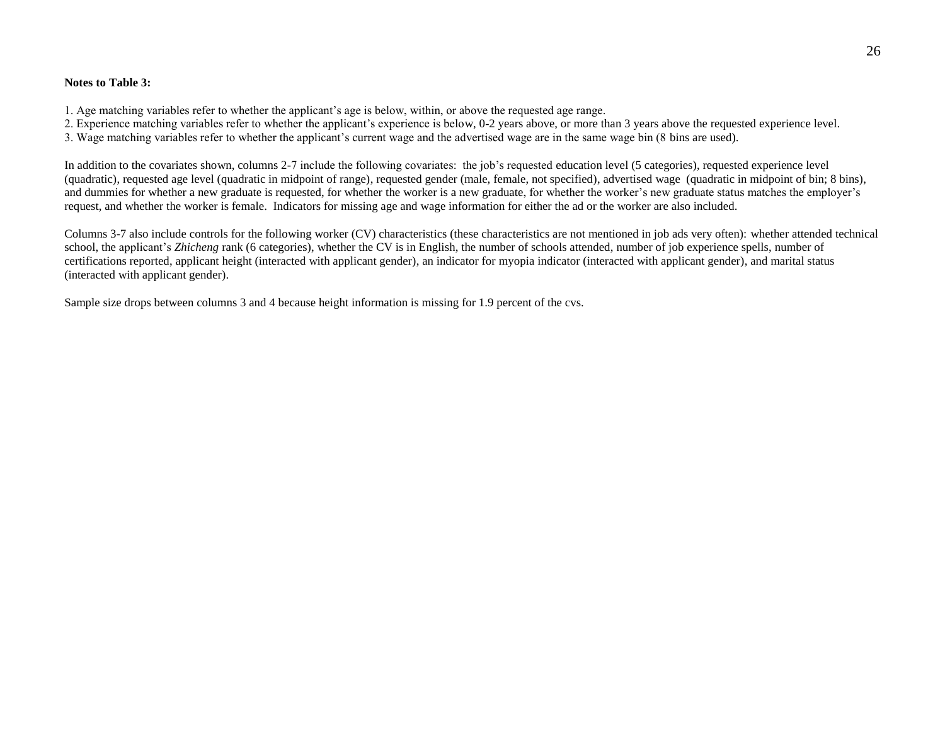#### **Notes to Table 3:**

1. Age matching variables refer to whether the applicant's age is below, within, or above the requested age range.

2. Experience matching variables refer to whether the applicant's experience is below, 0-2 years above, or more than 3 years above the requested experience level.

3. Wage matching variables refer to whether the applicant's current wage and the advertised wage are in the same wage bin (8 bins are used).

In addition to the covariates shown, columns 2-7 include the following covariates: the job's requested education level (5 categories), requested experience level (quadratic), requested age level (quadratic in midpoint of range), requested gender (male, female, not specified), advertised wage (quadratic in midpoint of bin; 8 bins), and dummies for whether a new graduate is requested, for whether the worker is a new graduate, for whether the worker's new graduate status matches the employer's request, and whether the worker is female. Indicators for missing age and wage information for either the ad or the worker are also included.

Columns 3-7 also include controls for the following worker (CV) characteristics (these characteristics are not mentioned in job ads very often): whether attended technical school, the applicant's *Zhicheng* rank (6 categories), whether the CV is in English, the number of schools attended, number of job experience spells, number of certifications reported, applicant height (interacted with applicant gender), an indicator for myopia indicator (interacted with applicant gender), and marital status (interacted with applicant gender).

Sample size drops between columns 3 and 4 because height information is missing for 1.9 percent of the cvs.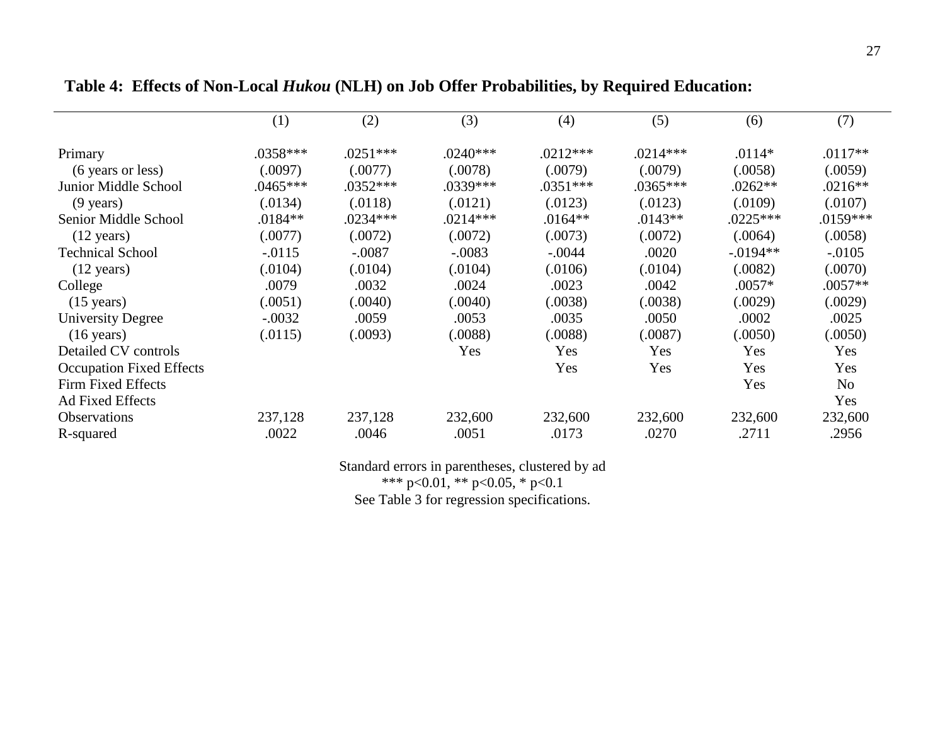|                                 | (1)        | (2)        | (3)        | (4)        | (5)        | (6)        | (7)            |
|---------------------------------|------------|------------|------------|------------|------------|------------|----------------|
| Primary                         | $.0358***$ | $.0251***$ | $.0240***$ | $.0212***$ | $.0214***$ | $.0114*$   | $.0117**$      |
| (6 years or less)               | (.0097)    | (.0077)    | (.0078)    | (.0079)    | (.0079)    | (.0058)    | (.0059)        |
| Junior Middle School            | $.0465***$ | $.0352***$ | .0339***   | $.0351***$ | $.0365***$ | $.0262**$  | $.0216**$      |
| $(9 \text{ years})$             | (.0134)    | (.0118)    | (.0121)    | (.0123)    | (.0123)    | (.0109)    | (.0107)        |
| Senior Middle School            | $.0184**$  | $.0234***$ | $.0214***$ | $.0164**$  | $.0143**$  | $.0225***$ | $.0159***$     |
| $(12 \text{ years})$            | (.0077)    | (.0072)    | (.0072)    | (.0073)    | (.0072)    | (.0064)    | (.0058)        |
| <b>Technical School</b>         | $-.0115$   | $-.0087$   | $-.0083$   | $-.0044$   | .0020      | $-.0194**$ | $-.0105$       |
| $(12 \text{ years})$            | (.0104)    | (.0104)    | (.0104)    | (.0106)    | (.0104)    | (.0082)    | (.0070)        |
| College                         | .0079      | .0032      | .0024      | .0023      | .0042      | $.0057*$   | $.0057**$      |
| $(15 \text{ years})$            | (.0051)    | (.0040)    | (.0040)    | (.0038)    | (.0038)    | (.0029)    | (.0029)        |
| <b>University Degree</b>        | $-.0032$   | .0059      | .0053      | .0035      | .0050      | .0002      | .0025          |
| $(16 \text{ years})$            | (.0115)    | (.0093)    | (.0088)    | (.0088)    | (.0087)    | (.0050)    | (.0050)        |
| Detailed CV controls            |            |            | Yes        | Yes        | Yes        | <b>Yes</b> | Yes            |
| <b>Occupation Fixed Effects</b> |            |            |            | Yes        | Yes        | Yes        | Yes            |
| Firm Fixed Effects              |            |            |            |            |            | Yes        | N <sub>0</sub> |
| <b>Ad Fixed Effects</b>         |            |            |            |            |            |            | Yes            |
| <b>Observations</b>             | 237,128    | 237,128    | 232,600    | 232,600    | 232,600    | 232,600    | 232,600        |
| R-squared                       | .0022      | .0046      | .0051      | .0173      | .0270      | .2711      | .2956          |

# **Table 4: Effects of Non-Local** *Hukou* **(NLH) on Job Offer Probabilities, by Required Education:**

Standard errors in parentheses, clustered by ad

\*\*\* p<0.01, \*\* p<0.05, \* p<0.1

See Table 3 for regression specifications.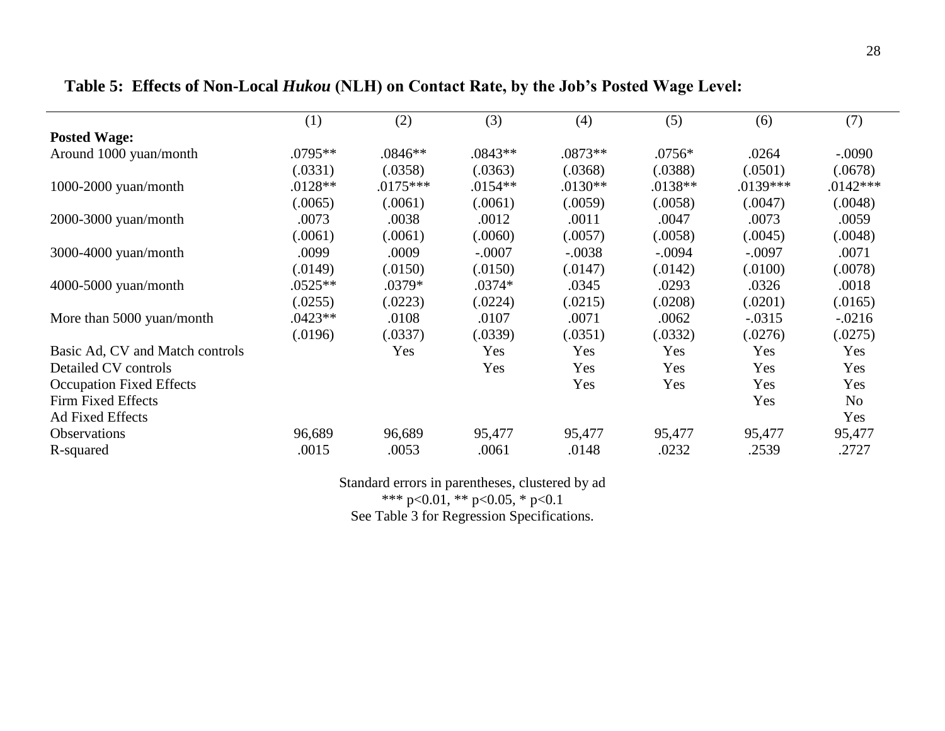|                                 | (1)       | (2)        | (3)       | (4)       | (5)       | (6)        | (7)            |
|---------------------------------|-----------|------------|-----------|-----------|-----------|------------|----------------|
| <b>Posted Wage:</b>             |           |            |           |           |           |            |                |
| Around 1000 yuan/month          | $.0795**$ | $.0846**$  | $.0843**$ | $.0873**$ | $.0756*$  | .0264      | $-.0090$       |
|                                 | (.0331)   | (.0358)    | (.0363)   | (.0368)   | (.0388)   | (.0501)    | (.0678)        |
| $1000-2000$ yuan/month          | $.0128**$ | $.0175***$ | $.0154**$ | $.0130**$ | $.0138**$ | $.0139***$ | $.0142***$     |
|                                 | 0.0065    | (.0061)    | (.0061)   | (.0059)   | (.0058)   | (.0047)    | (.0048)        |
| 2000-3000 yuan/month            | .0073     | .0038      | .0012     | .0011     | .0047     | .0073      | .0059          |
|                                 | (.0061)   | (.0061)    | (.0060)   | (.0057)   | (.0058)   | (.0045)    | (.0048)        |
| 3000-4000 yuan/month            | .0099     | .0009      | $-.0007$  | $-.0038$  | $-.0094$  | $-.0097$   | .0071          |
|                                 | (.0149)   | (.0150)    | (.0150)   | (.0147)   | (.0142)   | (.0100)    | (.0078)        |
| 4000-5000 yuan/month            | $.0525**$ | .0379*     | $.0374*$  | .0345     | .0293     | .0326      | .0018          |
|                                 | (.0255)   | (.0223)    | (.0224)   | (.0215)   | (.0208)   | (.0201)    | (.0165)        |
| More than 5000 yuan/month       | $.0423**$ | .0108      | .0107     | .0071     | .0062     | $-.0315$   | $-0.0216$      |
|                                 | (.0196)   | (.0337)    | (.0339)   | (.0351)   | (.0332)   | (.0276)    | (.0275)        |
| Basic Ad, CV and Match controls |           | Yes        | Yes       | Yes       | Yes       | <b>Yes</b> | <b>Yes</b>     |
| Detailed CV controls            |           |            | Yes       | Yes       | Yes       | Yes        | Yes            |
| <b>Occupation Fixed Effects</b> |           |            |           | Yes       | Yes       | Yes        | Yes            |
| Firm Fixed Effects              |           |            |           |           |           | Yes        | N <sub>0</sub> |
| <b>Ad Fixed Effects</b>         |           |            |           |           |           |            | Yes            |
| Observations                    | 96,689    | 96,689     | 95,477    | 95,477    | 95,477    | 95,477     | 95,477         |
| R-squared                       | .0015     | .0053      | .0061     | .0148     | .0232     | .2539      | .2727          |

# **Table 5: Effects of Non-Local** *Hukou* **(NLH) on Contact Rate, by the Job's Posted Wage Level:**

Standard errors in parentheses, clustered by ad \*\*\* p<0.01, \*\* p<0.05, \* p<0.1 See Table 3 for Regression Specifications.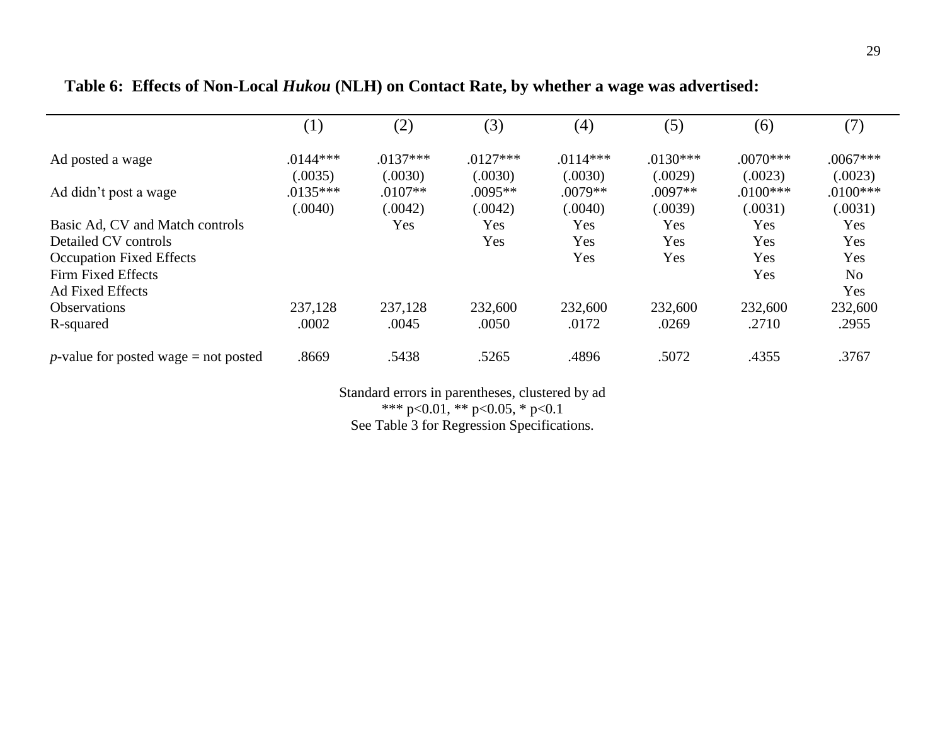|                                                | (1)        | (2)        | (3)        | (4)        | (5)        | (6)        | (7)            |
|------------------------------------------------|------------|------------|------------|------------|------------|------------|----------------|
| Ad posted a wage                               | $.0144***$ | $.0137***$ | $.0127***$ | $.0114***$ | $.0130***$ | $.0070***$ | $.0067***$     |
|                                                | (.0035)    | (.0030)    | (.0030)    | (.0030)    | (.0029)    | (.0023)    | (.0023)        |
| Ad didn't post a wage                          | $.0135***$ | $.0107**$  | $.0095**$  | $.0079**$  | $.0097**$  | $.0100***$ | $.0100***$     |
|                                                | (.0040)    | (.0042)    | (.0042)    | (.0040)    | (.0039)    | (.0031)    | (.0031)        |
| Basic Ad, CV and Match controls                |            | Yes        | Yes        | Yes        | Yes        | Yes        | Yes            |
| Detailed CV controls                           |            |            | Yes        | Yes        | Yes        | Yes        | Yes            |
| <b>Occupation Fixed Effects</b>                |            |            |            | Yes        | Yes        | Yes        | Yes            |
| Firm Fixed Effects                             |            |            |            |            |            | Yes        | N <sub>o</sub> |
| <b>Ad Fixed Effects</b>                        |            |            |            |            |            |            | Yes            |
| <b>Observations</b>                            | 237,128    | 237,128    | 232,600    | 232,600    | 232,600    | 232,600    | 232,600        |
| R-squared                                      | .0002      | .0045      | .0050      | .0172      | .0269      | .2710      | .2955          |
| <i>p</i> -value for posted wage $=$ not posted | .8669      | .5438      | .5265      | .4896      | .5072      | .4355      | .3767          |

# **Table 6: Effects of Non-Local** *Hukou* **(NLH) on Contact Rate, by whether a wage was advertised:**

Standard errors in parentheses, clustered by ad \*\*\* p<0.01, \*\* p<0.05, \* p<0.1 See Table 3 for Regression Specifications.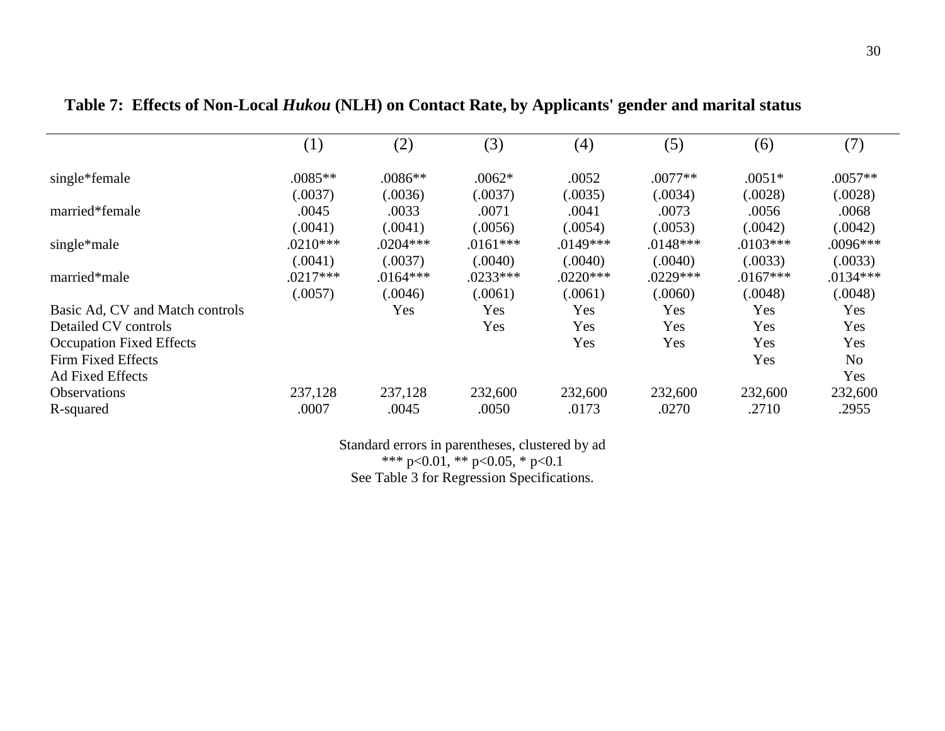|                                 | $\left( 1\right)$ | (2)        | (3)        | (4)        | (5)        | (6)        | (7)            |
|---------------------------------|-------------------|------------|------------|------------|------------|------------|----------------|
| single*female                   | $.0085**$         | $.0086**$  | $.0062*$   | .0052      | $.0077**$  | $.0051*$   | $.0057**$      |
|                                 | (.0037)           | (.0036)    | (.0037)    | (.0035)    | (.0034)    | (.0028)    | (.0028)        |
| married*female                  | .0045             | .0033      | .0071      | .0041      | .0073      | .0056      | .0068          |
|                                 | (.0041)           | (.0041)    | (.0056)    | (.0054)    | (.0053)    | (.0042)    | (.0042)        |
| single*male                     | $.0210***$        | $.0204***$ | $.0161***$ | $.0149***$ | $.0148***$ | $.0103***$ | $.0096***$     |
|                                 | (.0041)           | (.0037)    | (.0040)    | (.0040)    | (.0040)    | (.0033)    | (.0033)        |
| married*male                    | $.0217***$        | $.0164***$ | $.0233***$ | $.0220***$ | $.0229***$ | $.0167***$ | $.0134***$     |
|                                 | (.0057)           | (.0046)    | (.0061)    | (.0061)    | (.0060)    | (.0048)    | (.0048)        |
| Basic Ad, CV and Match controls |                   | Yes        | Yes        | Yes        | Yes        | Yes        | Yes            |
| Detailed CV controls            |                   |            | Yes        | Yes        | Yes        | Yes        | Yes            |
| <b>Occupation Fixed Effects</b> |                   |            |            | Yes        | Yes        | Yes        | Yes            |
| Firm Fixed Effects              |                   |            |            |            |            | Yes        | N <sub>o</sub> |
| <b>Ad Fixed Effects</b>         |                   |            |            |            |            |            | Yes            |
| <b>Observations</b>             | 237,128           | 237,128    | 232,600    | 232,600    | 232,600    | 232,600    | 232,600        |
| R-squared                       | .0007             | .0045      | .0050      | .0173      | .0270      | .2710      | .2955          |

**Table 7: Effects of Non-Local** *Hukou* **(NLH) on Contact Rate, by Applicants' gender and marital status**

Standard errors in parentheses, clustered by ad \*\*\* p<0.01, \*\* p<0.05, \* p<0.1

See Table 3 for Regression Specifications.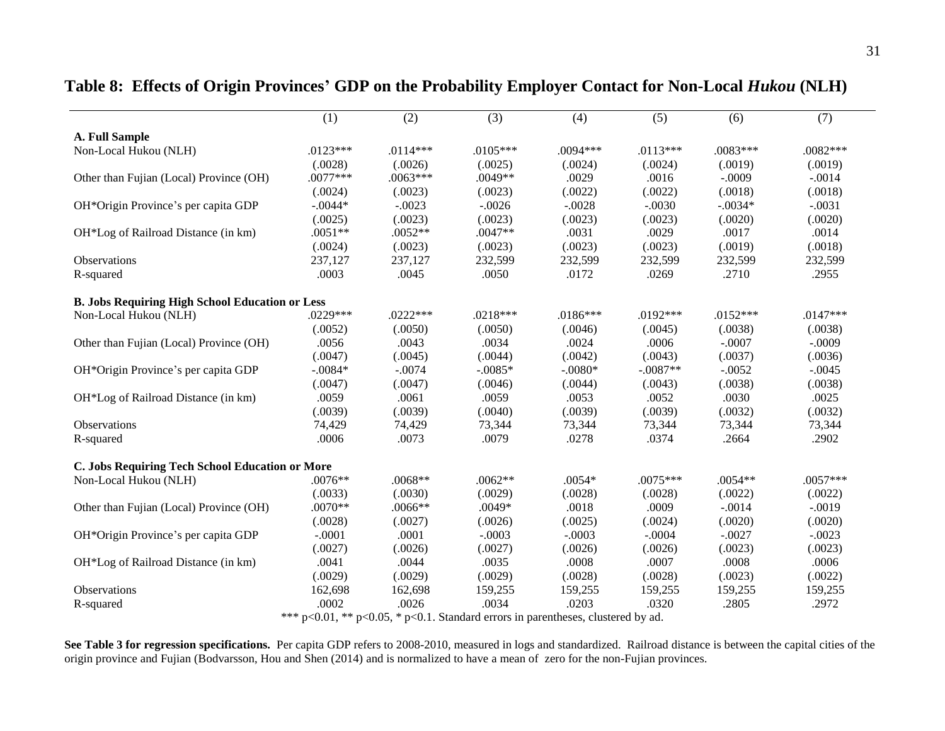|                                                        | (1)        | (2)        | (3)        | (4)        | (5)        | (6)        | (7)        |
|--------------------------------------------------------|------------|------------|------------|------------|------------|------------|------------|
| <b>A. Full Sample</b>                                  |            |            |            |            |            |            |            |
| Non-Local Hukou (NLH)                                  | $.0123***$ | $.0114***$ | $.0105***$ | $.0094***$ | $.0113***$ | $.0083***$ | $.0082***$ |
|                                                        | (.0028)    | (.0026)    | (.0025)    | (.0024)    | (.0024)    | (.0019)    | (.0019)    |
| Other than Fujian (Local) Province (OH)                | $.0077***$ | $.0063***$ | .0049**    | .0029      | .0016      | $-.0009$   | $-.0014$   |
|                                                        | (.0024)    | (.0023)    | (.0023)    | (.0022)    | (.0022)    | (.0018)    | (.0018)    |
| OH*Origin Province's per capita GDP                    | $-.0044*$  | $-.0023$   | $-.0026$   | $-.0028$   | $-.0030$   | $-.0034*$  | $-.0031$   |
|                                                        | (.0025)    | (.0023)    | (.0023)    | (.0023)    | (.0023)    | (.0020)    | (.0020)    |
| OH*Log of Railroad Distance (in km)                    | $.0051**$  | $.0052**$  | .0047**    | .0031      | .0029      | .0017      | .0014      |
|                                                        | (.0024)    | (.0023)    | (.0023)    | (.0023)    | (.0023)    | (.0019)    | (.0018)    |
| <b>Observations</b>                                    | 237,127    | 237,127    | 232,599    | 232,599    | 232,599    | 232,599    | 232,599    |
| R-squared                                              | .0003      | .0045      | .0050      | .0172      | .0269      | .2710      | .2955      |
| <b>B. Jobs Requiring High School Education or Less</b> |            |            |            |            |            |            |            |
| Non-Local Hukou (NLH)                                  | $.0229***$ | $.0222***$ | $.0218***$ | $.0186***$ | $.0192***$ | $.0152***$ | $.0147***$ |
|                                                        | (.0052)    | (.0050)    | (.0050)    | (.0046)    | (.0045)    | (.0038)    | (.0038)    |
| Other than Fujian (Local) Province (OH)                | .0056      | .0043      | .0034      | .0024      | .0006      | $-.0007$   | $-.0009$   |
|                                                        | (.0047)    | (.0045)    | (.0044)    | (.0042)    | (.0043)    | (.0037)    | (.0036)    |
| OH*Origin Province's per capita GDP                    | $-.0084*$  | $-.0074$   | $-.0085*$  | $-.0080*$  | $-.0087**$ | $-.0052$   | $-.0045$   |
|                                                        | (.0047)    | (.0047)    | (.0046)    | (.0044)    | (.0043)    | (.0038)    | (.0038)    |
| OH*Log of Railroad Distance (in km)                    | .0059      | .0061      | .0059      | .0053      | .0052      | .0030      | .0025      |
|                                                        | (.0039)    | (.0039)    | (.0040)    | (.0039)    | (.0039)    | (.0032)    | (.0032)    |
| Observations                                           | 74,429     | 74,429     | 73,344     | 73,344     | 73,344     | 73,344     | 73,344     |
| R-squared                                              | .0006      | .0073      | .0079      | .0278      | .0374      | .2664      | .2902      |
| C. Jobs Requiring Tech School Education or More        |            |            |            |            |            |            |            |
| Non-Local Hukou (NLH)                                  | $.0076**$  | $.0068**$  | $.0062**$  | $.0054*$   | $.0075***$ | $.0054**$  | $.0057***$ |
|                                                        | (.0033)    | (.0030)    | (.0029)    | (.0028)    | (.0028)    | (.0022)    | (.0022)    |
| Other than Fujian (Local) Province (OH)                | $.0070**$  | $.0066**$  | $.0049*$   | .0018      | .0009      | $-.0014$   | $-.0019$   |
|                                                        | (.0028)    | (.0027)    | (.0026)    | (.0025)    | (.0024)    | (.0020)    | (.0020)    |
| OH*Origin Province's per capita GDP                    | $-.0001$   | .0001      | $-.0003$   | $-.0003$   | $-.0004$   | $-.0027$   | $-.0023$   |
|                                                        | (.0027)    | (.0026)    | (.0027)    | (.0026)    | (.0026)    | (.0023)    | (.0023)    |
| OH*Log of Railroad Distance (in km)                    | .0041      | .0044      | .0035      | .0008      | .0007      | .0008      | .0006      |
|                                                        | (.0029)    | (.0029)    | (.0029)    | (.0028)    | (.0028)    | (.0023)    | (.0022)    |
| <b>Observations</b>                                    | 162,698    | 162,698    | 159,255    | 159,255    | 159,255    | 159,255    | 159,255    |
| R-squared                                              | .0002      | .0026      | .0034      | .0203      | .0320      | .2805      | .2972      |

### **Table 8: Effects of Origin Provinces' GDP on the Probability Employer Contact for Non-Local** *Hukou* **(NLH)**

\*\*\* p<0.01, \*\* p<0.05, \* p<0.1. Standard errors in parentheses, clustered by ad.

See Table 3 for regression specifications. Per capita GDP refers to 2008-2010, measured in logs and standardized. Railroad distance is between the capital cities of the origin province and Fujian (Bodvarsson, Hou and Shen (2014) and is normalized to have a mean of zero for the non-Fujian provinces.